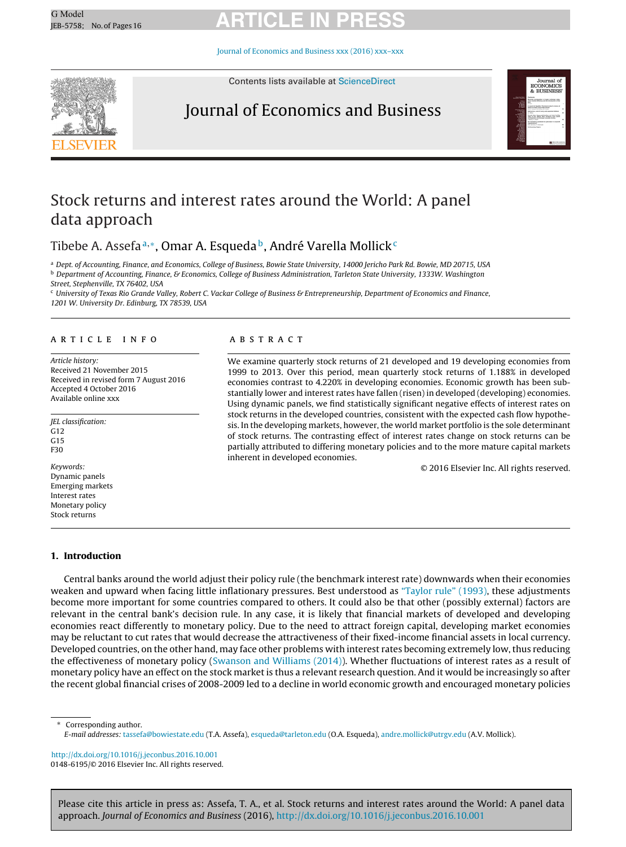Journal of [Economics](dx.doi.org/10.1016/j.jeconbus.2016.10.001) and Business xxx (2016) xxx–xxx



Contents lists available at [ScienceDirect](http://www.sciencedirect.com/science/journal/01486195)

# Journal of Economics and Business



# Stock returns and interest rates around the World: A panel data approach

Tibebe A. Assefa<sup>a,∗</sup>, Omar A. Esqueda<sup>b</sup>, André Varella Mollick<sup>c</sup>

a Dept. of Accounting, Finance, and Economics, College of Business, Bowie State University, 14000 Jericho Park Rd. Bowie, MD 20715, USA **b** Department of Accounting, Finance, & Economics, College of Business Administration, Tarleton State University, 1333W. Washington Street, Stephenville, TX 76402, USA

<sup>c</sup> University of Texas Rio Grande Valley, Robert C. Vackar College of Business & Entrepreneurship, Department of Economics and Finance, 1201 W. University Dr. Edinburg, TX 78539, USA

## a r t i c l e i n f o

Article history: Received 21 November 2015 Received in revised form 7 August 2016 Accepted 4 October 2016 Available online xxx

JEL classification: G12 G15 F30 Keywords:

Dynamic panels Emerging markets Interest rates Monetary policy Stock returns

A B S T R A C T

We examine quarterly stock returns of 21 developed and 19 developing economies from 1999 to 2013. Over this period, mean quarterly stock returns of 1.188% in developed economies contrast to 4.220% in developing economies. Economic growth has been substantially lower and interest rates have fallen (risen) in developed (developing) economies. Using dynamic panels, we find statistically significant negative effects of interest rates on stock returns in the developed countries, consistent with the expected cash flow hypothesis. In the developing markets, however, the world market portfolio is the sole determinant of stock returns. The contrasting effect of interest rates change on stock returns can be partially attributed to differing monetary policies and to the more mature capital markets inherent in developed economies.

© 2016 Elsevier Inc. All rights reserved.

# **1. Introduction**

Central banks around the world adjust their policy rule (the benchmark interest rate) downwards when their economies weaken and upward when facing little inflationary pressures. Best understood as ["Taylor](#page-15-0) [rule"](#page-15-0) [\(1993\),](#page-15-0) these adjustments become more important for some countries compared to others. It could also be that other (possibly external) factors are relevant in the central bank's decision rule. In any case, it is likely that financial markets of developed and developing economies react differently to monetary policy. Due to the need to attract foreign capital, developing market economies may be reluctant to cut rates that would decrease the attractiveness of their fixed-income financial assets in local currency. Developed countries, on the other hand, may face other problems with interest rates becoming extremely low, thus reducing the effectiveness of monetary policy [\(Swanson](#page-15-0) [and](#page-15-0) [Williams](#page-15-0) [\(2014\)\).](#page-15-0) Whether fluctuations of interest rates as a result of monetary policy have an effect on the stock market is thus a relevant research question. And it would be increasingly so after the recent global financial crises of 2008-2009 led to a decline in world economic growth and encouraged monetary policies

∗ Corresponding author.

E-mail addresses: [tassefa@bowiestate.edu](mailto:tassefa@bowiestate.edu) (T.A. Assefa), [esqueda@tarleton.edu](mailto:esqueda@tarleton.edu) (O.A. Esqueda), [andre.mollick@utrgv.edu](mailto:andre.mollick@utrgv.edu) (A.V. Mollick).

[http://dx.doi.org/10.1016/j.jeconbus.2016.10.001](dx.doi.org/10.1016/j.jeconbus.2016.10.001) 0148-6195/© 2016 Elsevier Inc. All rights reserved.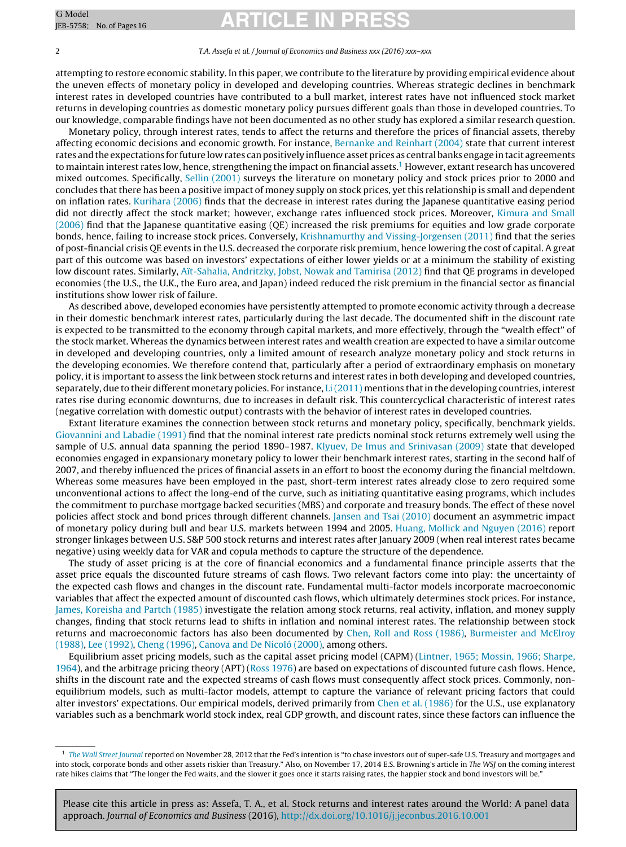### 2 T.A. Assefa et al. / Journal of Economics and Business xxx (2016) xxx–xxx

attempting to restore economic stability. In this paper, we contribute to the literature by providing empirical evidence about the uneven effects of monetary policy in developed and developing countries. Whereas strategic declines in benchmark interest rates in developed countries have contributed to a bull market, interest rates have not influenced stock market returns in developing countries as domestic monetary policy pursues different goals than those in developed countries. To our knowledge, comparable findings have not been documented as no other study has explored a similar research question.

Monetary policy, through interest rates, tends to affect the returns and therefore the prices of financial assets, thereby affecting economic decisions and economic growth. For instance, [Bernanke](#page-14-0) [and](#page-14-0) [Reinhart](#page-14-0) [\(2004\)](#page-14-0) state that current interest rates and the expectations for future low rates can positively influence asset prices as central banks engage in tacit agreements to maintain interest rates low, hence, strengthening the impact on financial assets.<sup>1</sup> However, extant research has uncovered mixed outcomes. Specifically, [Sellin](#page-15-0) [\(2001\)](#page-15-0) surveys the literature on monetary policy and stock prices prior to 2000 and concludes that there has been a positive impact of money supply on stock prices, yet this relationship is small and dependent on inflation rates. [Kurihara](#page-15-0) [\(2006\)](#page-15-0) finds that the decrease in interest rates during the Japanese quantitative easing period did not directly affect the stock market; however, exchange rates influenced stock prices. Moreover, [Kimura](#page-15-0) [and](#page-15-0) [Small](#page-15-0) [\(2006\)](#page-15-0) find that the Japanese quantitative easing (QE) increased the risk premiums for equities and low grade corporate bonds, hence, failing to increase stock prices. Conversely, [Krishnamurthy](#page-15-0) [and](#page-15-0) [Vissing-Jorgensen](#page-15-0) [\(2011\)](#page-15-0) find that the series of post-financial crisis QE events in the U.S. decreased the corporate risk premium, hence lowering the cost of capital. A great part of this outcome was based on investors' expectations of either lower yields or at a minimum the stability of existing low discount rates. Similarly, [Aït-Sahalia,](#page-14-0) [Andritzky,](#page-14-0) [Jobst,](#page-14-0) [Nowak](#page-14-0) [and](#page-14-0) [Tamirisa](#page-14-0) [\(2012\)](#page-14-0) find that QE programs in developed economies (the U.S., the U.K., the Euro area, and Japan) indeed reduced the risk premium in the financial sector as financial institutions show lower risk of failure.

As described above, developed economies have persistently attempted to promote economic activity through a decrease in their domestic benchmark interest rates, particularly during the last decade. The documented shift in the discount rate is expected to be transmitted to the economy through capital markets, and more effectively, through the "wealth effect" of the stock market. Whereas the dynamics between interest rates and wealth creation are expected to have a similar outcome in developed and developing countries, only a limited amount of research analyze monetary policy and stock returns in the developing economies. We therefore contend that, particularly after a period of extraordinary emphasis on monetary policy, it is important to assess the link between stock returns and interest rates in both developing and developed countries, separately, due to their different monetary policies. For instance, Li $(2011)$  mentions that in the developing countries, interest rates rise during economic downturns, due to increases in default risk. This countercyclical characteristic of interest rates (negative correlation with domestic output) contrasts with the behavior of interest rates in developed countries.

Extant literature examines the connection between stock returns and monetary policy, specifically, benchmark yields. [Giovannini](#page-14-0) [and](#page-14-0) [Labadie](#page-14-0) [\(1991\)](#page-14-0) find that the nominal interest rate predicts nominal stock returns extremely well using the sample of U.S. annual data spanning the period 1890–1987. [Klyuev,](#page-15-0) [De](#page-15-0) [Imus](#page-15-0) [and](#page-15-0) [Srinivasan](#page-15-0) [\(2009\)](#page-15-0) state that developed economies engaged in expansionary monetary policy to lower their benchmark interest rates, starting in the second half of 2007, and thereby influenced the prices of financial assets in an effort to boost the economy during the financial meltdown. Whereas some measures have been employed in the past, short-term interest rates already close to zero required some unconventional actions to affect the long-end of the curve, such as initiating quantitative easing programs, which includes the commitment to purchase mortgage backed securities (MBS) and corporate and treasury bonds. The effect of these novel policies affect stock and bond prices through different channels. [Jansen](#page-15-0) [and](#page-15-0) [Tsai](#page-15-0) [\(2010\)](#page-15-0) document an asymmetric impact of monetary policy during bull and bear U.S. markets between 1994 and 2005. [Huang,](#page-15-0) [Mollick](#page-15-0) [and](#page-15-0) [Nguyen](#page-15-0) [\(2016\)](#page-15-0) report stronger linkages between U.S. S&P 500 stock returns and interest rates after January 2009 (when real interest rates became negative) using weekly data for VAR and copula methods to capture the structure of the dependence.

The study of asset pricing is at the core of financial economics and a fundamental finance principle asserts that the asset price equals the discounted future streams of cash flows. Two relevant factors come into play: the uncertainty of the expected cash flows and changes in the discount rate. Fundamental multi-factor models incorporate macroeconomic variables that affect the expected amount of discounted cash flows, which ultimately determines stock prices. For instance, [James,](#page-15-0) [Koreisha](#page-15-0) [and](#page-15-0) [Partch](#page-15-0) [\(1985\)](#page-15-0) investigate the relation among stock returns, real activity, inflation, and money supply changes, finding that stock returns lead to shifts in inflation and nominal interest rates. The relationship between stock returns and macroeconomic factors has also been documented by [Chen,](#page-14-0) [Roll](#page-14-0) [and](#page-14-0) [Ross](#page-14-0) [\(1986\),](#page-14-0) [Burmeister](#page-14-0) [and](#page-14-0) [McElroy](#page-14-0) [\(1988\),](#page-14-0) [Lee](#page-15-0) [\(1992\),](#page-15-0) [Cheng](#page-14-0) [\(1996\),](#page-14-0) [Canova](#page-14-0) [and](#page-14-0) [De](#page-14-0) [Nicoló](#page-14-0) [\(2000\),](#page-14-0) among others.

Equilibrium asset pricing models, such as the capital asset pricing model (CAPM) [\(Lintner,](#page-15-0) [1965;](#page-15-0) [Mossin,](#page-15-0) [1966;](#page-15-0) [Sharpe,](#page-15-0) [1964\),](#page-15-0) and the arbitrage pricing theory (APT) ([Ross](#page-15-0) [1976\)](#page-15-0) are based on expectations of discounted future cash flows. Hence, shifts in the discount rate and the expected streams of cash flows must consequently affect stock prices. Commonly, nonequilibrium models, such as multi-factor models, attempt to capture the variance of relevant pricing factors that could alter investors' expectations. Our empirical models, derived primarily from [Chen](#page-14-0) et [al.](#page-14-0) [\(1986\)](#page-14-0) for the U.S., use explanatory variables such as a benchmark world stock index, real GDP growth, and discount rates, since these factors can influence the

 $1$  The [Wall](#page-15-0) [Street](#page-15-0) [Journal](#page-15-0) reported on November 28, 2012 that the Fed's intention is "to chase investors out of super-safe U.S. Treasury and mortgages and into stock, corporate bonds and other assets riskier than Treasury." Also, on November 17, 2014 E.S. Browning's article in The WSJ on the coming interest rate hikes claims that "The longer the Fed waits, and the slower it goes once it starts raising rates, the happier stock and bond investors will be."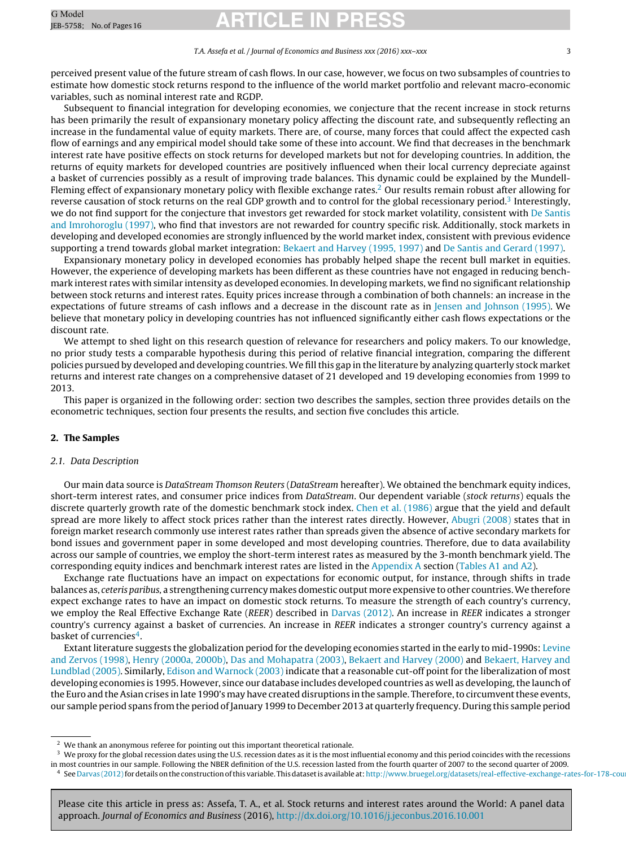# T.A. Assefa et al. / Journal of Economics and Business xxx (2016) xxx–xxx 3

perceived present value of the future stream of cash flows. In our case, however, we focus on two subsamples of countries to estimate how domestic stock returns respond to the influence of the world market portfolio and relevant macro-economic variables, such as nominal interest rate and RGDP.

Subsequent to financial integration for developing economies, we conjecture that the recent increase in stock returns has been primarily the result of expansionary monetary policy affecting the discount rate, and subsequently reflecting an increase in the fundamental value of equity markets. There are, of course, many forces that could affect the expected cash flow of earnings and any empirical model should take some of these into account. We find that decreases in the benchmark interest rate have positive effects on stock returns for developed markets but not for developing countries. In addition, the returns of equity markets for developed countries are positively influenced when their local currency depreciate against a basket of currencies possibly as a result of improving trade balances. This dynamic could be explained by the Mundell-Fleming effect of expansionary monetary policy with flexible exchange rates.<sup>2</sup> Our results remain robust after allowing for reverse causation of stock returns on the real GDP growth and to control for the global recessionary period.<sup>3</sup> Interestingly, we do not find support for the conjecture that investors get rewarded for stock market volatility, consistent with [De](#page-14-0) [Santis](#page-14-0) [and](#page-14-0) [Imrohoroglu](#page-14-0) [\(1997\),](#page-14-0) who find that investors are not rewarded for country specific risk. Additionally, stock markets in developing and developed economies are strongly influenced by the world market index, consistent with previous evidence supporting a trend towards global market integration: [Bekaert](#page-14-0) [and](#page-14-0) [Harvey](#page-14-0) [\(1995,](#page-14-0) [1997\)](#page-14-0) and [De](#page-14-0) [Santis](#page-14-0) [and](#page-14-0) [Gerard](#page-14-0) [\(1997\).](#page-14-0)

Expansionary monetary policy in developed economies has probably helped shape the recent bull market in equities. However, the experience of developing markets has been different as these countries have not engaged in reducing benchmark interest rates with similar intensity as developed economies. In developing markets, we find no significant relationship between stock returns and interest rates. Equity prices increase through a combination of both channels: an increase in the expectations of future streams of cash inflows and a decrease in the discount rate as in [Jensen](#page-15-0) [and](#page-15-0) [Johnson](#page-15-0) [\(1995\).](#page-15-0) We believe that monetary policy in developing countries has not influenced significantly either cash flows expectations or the discount rate.

We attempt to shed light on this research question of relevance for researchers and policy makers. To our knowledge, no prior study tests a comparable hypothesis during this period of relative financial integration, comparing the different policies pursued by developed and developing countries. We fillthis gap in the literature by analyzing quarterly stock market returns and interest rate changes on a comprehensive dataset of 21 developed and 19 developing economies from 1999 to 2013.

This paper is organized in the following order: section two describes the samples, section three provides details on the econometric techniques, section four presents the results, and section five concludes this article.

# **2. The Samples**

## 2.1. Data Description

Our main data source is DataStream Thomson Reuters (DataStream hereafter). We obtained the benchmark equity indices, short-term interest rates, and consumer price indices from DataStream. Our dependent variable (stock returns) equals the discrete quarterly growth rate of the domestic benchmark stock index. [Chen](#page-14-0) et [al.](#page-14-0) [\(1986\)](#page-14-0) argue that the yield and default spread are more likely to affect stock prices rather than the interest rates directly. However, [Abugri](#page-14-0) [\(2008\)](#page-14-0) states that in foreign market research commonly use interest rates rather than spreads given the absence of active secondary markets for bond issues and government paper in some developed and most developing countries. Therefore, due to data availability across our sample of countries, we employ the short-term interest rates as measured by the 3-month benchmark yield. The corresponding equity indices and benchmark interest rates are listed in the [Appendix](#page-11-0) [A](#page-11-0) section ([Tables](#page-12-0) A1 and A2).

Exchange rate fluctuations have an impact on expectations for economic output, for instance, through shifts in trade balances as, ceteris paribus, a strengthening currency makes domestic output more expensive to other countries.We therefore expect exchange rates to have an impact on domestic stock returns. To measure the strength of each country's currency, we employ the Real Effective Exchange Rate (REER) described in [Darvas](#page-14-0) [\(2012\).](#page-14-0) An increase in REER indicates a stronger country's currency against a basket of currencies. An increase in REER indicates a stronger country's currency against a basket of currencies<sup>4</sup>.

Extant literature suggests the globalization period for the developing economies started in the early to mid-1990s: [Levine](#page-15-0) [and](#page-15-0) [Zervos](#page-15-0) [\(1998\),](#page-15-0) [Henry](#page-14-0) [\(2000a,](#page-14-0) [2000b\),](#page-14-0) [Das](#page-14-0) [and](#page-14-0) [Mohapatra](#page-14-0) [\(2003\),](#page-14-0) [Bekaert](#page-14-0) [and](#page-14-0) [Harvey](#page-14-0) [\(2000\)](#page-14-0) and [Bekaert,](#page-14-0) [Harvey](#page-14-0) [and](#page-14-0) [Lundblad](#page-14-0) [\(2005\).](#page-14-0) Similarly, [Edison](#page-14-0) [and](#page-14-0) [Warnock](#page-14-0) [\(2003\)](#page-14-0) indicate that a reasonable cut-off point for the liberalization of most developing economies is 1995. However, since our database includes developed countries as well as developing, the launch of the Euro and the Asian crises in late 1990's may have created disruptions in the sample. Therefore, to circumvent these events, our sample period spans from the period ofJanuary 1999 to December 2013 at quarterly frequency. During this sample period

 $3\,$  We proxy for the global recession dates using the U.S. recession dates as it is the most influential economy and this period coincides with the recessions in most countries in our sample. Following the NBER definition of the U.S. recession lasted from the fourth quarter of 2007 to the second quarter of 2009. 4 See [Darvas](#page-14-0) (2012) for details on the construction of this variable. This dataset is available at: http://www.bruegel.org/datasets/real-effective-exchange-rates-for-178-c

 $^{\rm 2}$  We thank an anonymous referee for pointing out this important theoretical rationale.

Please cite this article in press as: Assefa, T. A., et al. Stock returns and interest rates around the World: A panel data approach. Journal of Economics and Business (2016), [http://dx.doi.org/10.1016/j.jeconbus.2016.10.001](dx.doi.org/10.1016/j.jeconbus.2016.10.001)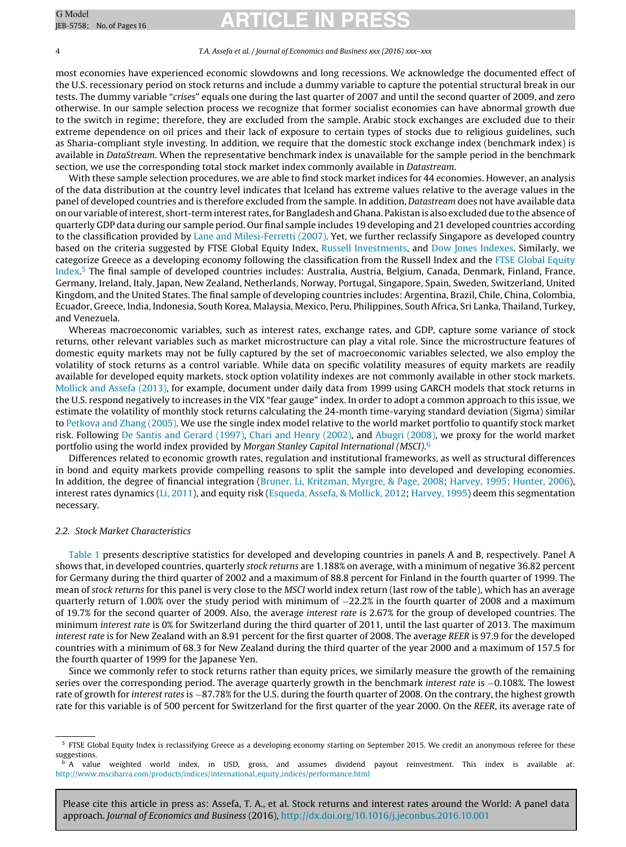### 4 T.A. Assefa et al. / Journal of Economics and Business xxx (2016) xxx–xxx

most economies have experienced economic slowdowns and long recessions. We acknowledge the documented effect of the U.S. recessionary period on stock returns and include a dummy variable to capture the potential structural break in our tests. The dummy variable "crises" equals one during the last quarter of 2007 and until the second quarter of 2009, and zero otherwise. In our sample selection process we recognize that former socialist economies can have abnormal growth due to the switch in regime; therefore, they are excluded from the sample. Arabic stock exchanges are excluded due to their extreme dependence on oil prices and their lack of exposure to certain types of stocks due to religious guidelines, such as Sharia-compliant style investing. In addition, we require that the domestic stock exchange index (benchmark index) is available in DataStream. When the representative benchmark index is unavailable for the sample period in the benchmark section, we use the corresponding total stock market index commonly available in Datastream.

With these sample selection procedures, we are able to find stock market indices for 44 economies. However, an analysis of the data distribution at the country level indicates that Iceland has extreme values relative to the average values in the panel of developed countries and is therefore excluded from the sample. In addition, Datastream does not have available data on our variable ofinterest, short-term interest rates,for Bangladesh and Ghana. Pakistan is also excluded due to the absence of quarterly GDP data during our sample period. Our final sample includes 19 developing and 21 developed countries according to the classification provided by [Lane](#page-15-0) [and](#page-15-0) [Milesi-Ferretti](#page-15-0) [\(2007\).](#page-15-0) Yet, we further reclassify Singapore as developed country based on the criteria suggested by FTSE Global Equity Index, [Russell](#page-15-0) [Investments,](#page-15-0) and [Dow](#page-14-0) [Jones](#page-14-0) [Indexes.](#page-14-0) Similarly, we categorize Greece as a developing economy following the classification from the Russell Index and the [FTSE](#page-14-0) [Global](#page-14-0) [Equity](#page-14-0) [Index.](#page-14-0) <sup>5</sup> The final sample of developed countries includes: Australia, Austria, Belgium, Canada, Denmark, Finland, France, Germany, Ireland, Italy, Japan, New Zealand, Netherlands, Norway, Portugal, Singapore, Spain, Sweden, Switzerland, United Kingdom, and the United States. The final sample of developing countries includes: Argentina, Brazil, Chile, China, Colombia, Ecuador, Greece, India, Indonesia, South Korea, Malaysia, Mexico, Peru, Philippines, South Africa, Sri Lanka, Thailand, Turkey, and Venezuela.

Whereas macroeconomic variables, such as interest rates, exchange rates, and GDP, capture some variance of stock returns, other relevant variables such as market microstructure can play a vital role. Since the microstructure features of domestic equity markets may not be fully captured by the set of macroeconomic variables selected, we also employ the volatility of stock returns as a control variable. While data on specific volatility measures of equity markets are readily available for developed equity markets, stock option volatility indexes are not commonly available in other stock markets. [Mollick](#page-15-0) [and](#page-15-0) [Assefa](#page-15-0) [\(2013\),](#page-15-0) for example, document under daily data from 1999 using GARCH models that stock returns in the U.S. respond negatively to increases in the VIX "fear gauge" index. In order to adopt a common approach to this issue, we estimate the volatility of monthly stock returns calculating the 24-month time-varying standard deviation (Sigma) similar to [Petkova](#page-15-0) [and](#page-15-0) [Zhang](#page-15-0) [\(2005\).](#page-15-0) We use the single index model relative to the world market portfolio to quantify stock market risk. Following [De](#page-14-0) [Santis](#page-14-0) [and](#page-14-0) [Gerard](#page-14-0) [\(1997\),](#page-14-0) [Chari](#page-14-0) [and](#page-14-0) [Henry](#page-14-0) [\(2002\),](#page-14-0) and [Abugri](#page-14-0) [\(2008\),](#page-14-0) we proxy for the world market portfolio using the world index provided by Morgan Stanley Capital International (MSCI).<sup>6</sup>

Differences related to economic growth rates, regulation and institutional frameworks, as well as structural differences in bond and equity markets provide compelling reasons to split the sample into developed and developing economies. In addition, the degree of financial integration [\(Bruner,](#page-14-0) [Li,](#page-14-0) [Kritzman,](#page-14-0) [Myrgre,](#page-14-0) [&](#page-14-0) [Page,](#page-14-0) [2008;](#page-14-0) [Harvey,](#page-14-0) [1995;](#page-14-0) [Hunter,](#page-14-0) [2006\),](#page-14-0) interest rates dynamics ([Li,](#page-15-0) [2011\),](#page-15-0) and equity risk ([Esqueda,](#page-14-0) [Assefa,](#page-14-0) [&](#page-14-0) [Mollick,](#page-14-0) [2012;](#page-14-0) [Harvey,](#page-14-0) [1995\)](#page-14-0) deem this segmentation necessary.

### 2.2. Stock Market Characteristics

[Table](#page-4-0) 1 presents descriptive statistics for developed and developing countries in panels A and B, respectively. Panel A shows that, in developed countries, quarterly stock returns are 1.188% on average, with a minimum of negative 36.82 percent for Germany during the third quarter of 2002 and a maximum of 88.8 percent for Finland in the fourth quarter of 1999. The mean of stock returns for this panel is very close to the MSCI world index return (last row of the table), which has an average quarterly return of 1.00% over the study period with minimum of −22.2% in the fourth quarter of 2008 and a maximum of 19.7% for the second quarter of 2009. Also, the average interest rate is 2.67% for the group of developed countries. The minimum interest rate is 0% for Switzerland during the third quarter of 2011, until the last quarter of 2013. The maximum interest rate is for New Zealand with an 8.91 percent for the first quarter of 2008. The average REER is 97.9 for the developed countries with a minimum of 68.3 for New Zealand during the third quarter of the year 2000 and a maximum of 157.5 for the fourth quarter of 1999 for the Japanese Yen.

Since we commonly refer to stock returns rather than equity prices, we similarly measure the growth of the remaining series over the corresponding period. The average quarterly growth in the benchmark interest rate is −0.108%. The lowest rate of growth for interest rates is -87.78% for the U.S. during the fourth quarter of 2008. On the contrary, the highest growth rate for this variable is of 500 percent for Switzerland for the first quarter of the year 2000. On the REER, its average rate of

<sup>&</sup>lt;sup>5</sup> FTSE Global Equity Index is reclassifying Greece as a developing economy starting on September 2015. We credit an anonymous referee for these suggestions.

<sup>6</sup> A value weighted world index, in USD, gross, and assumes dividend payout reinvestment. This index is available at: [http://www.mscibarra.com/products/indices/international](http://www.mscibarra.com/products/indices/international_equity_indices/performance.html) equity indices/performance.html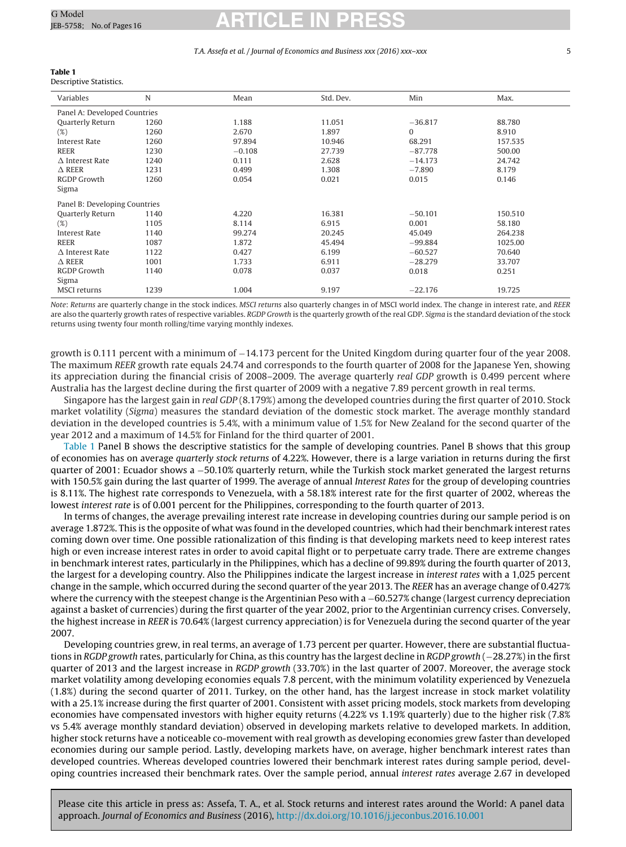# T.A. Assefa et al. / Journal of Economics and Business xxx (2016) xxx–xxx 5

<span id="page-4-0"></span>

| так | D | ı |  |
|-----|---|---|--|
|     |   |   |  |

Descriptive Statistics.

| Variables                     | N    | Mean     | Std. Dev. | Min          | Max.    |
|-------------------------------|------|----------|-----------|--------------|---------|
| Panel A: Developed Countries  |      |          |           |              |         |
| Quarterly Return              | 1260 | 1.188    | 11.051    | $-36.817$    | 88.780  |
| (%)                           | 1260 | 2.670    | 1.897     | $\mathbf{0}$ | 8.910   |
| <b>Interest Rate</b>          | 1260 | 97.894   | 10.946    | 68.291       | 157.535 |
| <b>REER</b>                   | 1230 | $-0.108$ | 27.739    | $-87.778$    | 500.00  |
| $\Delta$ Interest Rate        | 1240 | 0.111    | 2.628     | $-14.173$    | 24.742  |
| $\triangle$ REER              | 1231 | 0.499    | 1.308     | $-7.890$     | 8.179   |
| RGDP Growth                   | 1260 | 0.054    | 0.021     | 0.015        | 0.146   |
| Sigma                         |      |          |           |              |         |
| Panel B: Developing Countries |      |          |           |              |         |
| Quarterly Return              | 1140 | 4.220    | 16.381    | $-50.101$    | 150.510 |
| (%)                           | 1105 | 8.114    | 6.915     | 0.001        | 58.180  |
| <b>Interest Rate</b>          | 1140 | 99.274   | 20.245    | 45.049       | 264.238 |
| <b>REER</b>                   | 1087 | 1.872    | 45.494    | $-99.884$    | 1025.00 |
| $\Delta$ Interest Rate        | 1122 | 0.427    | 6.199     | $-60.527$    | 70.640  |
| $\triangle$ REER              | 1001 | 1.733    | 6.911     | $-28.279$    | 33.707  |
| RGDP Growth                   | 1140 | 0.078    | 0.037     | 0.018        | 0.251   |
| Sigma                         |      |          |           |              |         |
| <b>MSCI</b> returns           | 1239 | 1.004    | 9.197     | $-22.176$    | 19.725  |

Note: Returns are quarterly change in the stock indices. MSCI returns also quarterly changes in of MSCI world index. The change in interest rate, and REER are also the quarterly growth rates of respective variables. RGDP Growth is the quarterly growth of the real GDP. Sigma is the standard deviation of the stock returns using twenty four month rolling/time varying monthly indexes.

growth is 0.111 percent with a minimum of −14.173 percent for the United Kingdom during quarter four of the year 2008. The maximum REER growth rate equals 24.74 and corresponds to the fourth quarter of 2008 for the Japanese Yen, showing its appreciation during the financial crisis of 2008–2009. The average quarterly real GDP growth is 0.499 percent where Australia has the largest decline during the first quarter of 2009 with a negative 7.89 percent growth in real terms.

Singapore has the largest gain in real GDP (8.179%) among the developed countries during the first quarter of 2010. Stock market volatility (Sigma) measures the standard deviation of the domestic stock market. The average monthly standard deviation in the developed countries is 5.4%, with a minimum value of 1.5% for New Zealand for the second quarter of the year 2012 and a maximum of 14.5% for Finland for the third quarter of 2001.

Table 1 Panel B shows the descriptive statistics for the sample of developing countries. Panel B shows that this group of economies has on average quarterly stock returns of 4.22%. However, there is a large variation in returns during the first quarter of 2001: Ecuador shows a −50.10% quarterly return, while the Turkish stock market generated the largest returns with 150.5% gain during the last quarter of 1999. The average of annual Interest Rates for the group of developing countries is 8.11%. The highest rate corresponds to Venezuela, with a 58.18% interest rate for the first quarter of 2002, whereas the lowest interest rate is of 0.001 percent for the Philippines, corresponding to the fourth quarter of 2013.

In terms of changes, the average prevailing interest rate increase in developing countries during our sample period is on average 1.872%. This is the opposite of what was found in the developed countries, which had their benchmark interest rates coming down over time. One possible rationalization of this finding is that developing markets need to keep interest rates high or even increase interest rates in order to avoid capital flight or to perpetuate carry trade. There are extreme changes in benchmark interest rates, particularly in the Philippines, which has a decline of 99.89% during the fourth quarter of 2013, the largest for a developing country. Also the Philippines indicate the largest increase in interest rates with a 1,025 percent change in the sample, which occurred during the second quarter of the year 2013. The REER has an average change of 0.427% where the currency with the steepest change is the Argentinian Peso with a −60.527% change (largest currency depreciation against a basket of currencies) during the first quarter of the year 2002, prior to the Argentinian currency crises. Conversely, the highest increase in REER is 70.64% (largest currency appreciation) is for Venezuela during the second quarter of the year 2007.

Developing countries grew, in real terms, an average of 1.73 percent per quarter. However, there are substantial fluctuations in RGDP growth rates, particularly for China, as this country has the largest decline in RGDP growth (−28.27%) in the first quarter of 2013 and the largest increase in RGDP growth (33.70%) in the last quarter of 2007. Moreover, the average stock market volatility among developing economies equals 7.8 percent, with the minimum volatility experienced by Venezuela (1.8%) during the second quarter of 2011. Turkey, on the other hand, has the largest increase in stock market volatility with a 25.1% increase during the first quarter of 2001. Consistent with asset pricing models, stock markets from developing economies have compensated investors with higher equity returns (4.22% vs 1.19% quarterly) due to the higher risk (7.8% vs 5.4% average monthly standard deviation) observed in developing markets relative to developed markets. In addition, higher stock returns have a noticeable co-movement with real growth as developing economies grew faster than developed economies during our sample period. Lastly, developing markets have, on average, higher benchmark interest rates than developed countries. Whereas developed countries lowered their benchmark interest rates during sample period, developing countries increased their benchmark rates. Over the sample period, annual interest rates average 2.67 in developed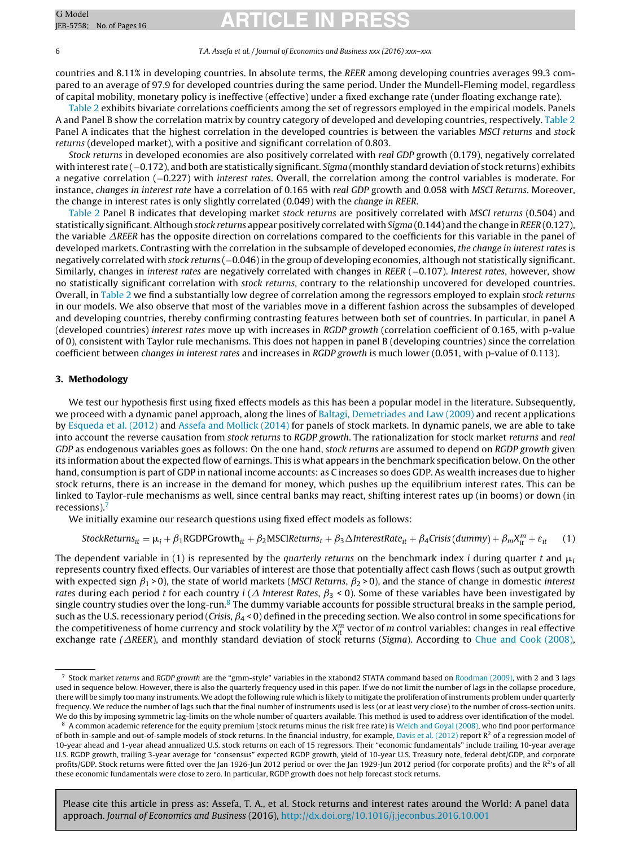## 6 T.A. Assefa et al. / Journal of Economics and Business xxx (2016) xxx–xxx

countries and 8.11% in developing countries. In absolute terms, the REER among developing countries averages 99.3 compared to an average of 97.9 for developed countries during the same period. Under the Mundell-Fleming model, regardless of capital mobility, monetary policy is ineffective (effective) under a fixed exchange rate (under floating exchange rate).

[Table](#page-6-0) 2 exhibits bivariate correlations coefficients among the set of regressors employed in the empirical models. Panels A and Panel B show the correlation matrix by country category of developed and developing countries, respectively. [Table](#page-6-0) 2 Panel A indicates that the highest correlation in the developed countries is between the variables MSCI returns and stock returns (developed market), with a positive and significant correlation of 0.803.

Stock returns in developed economies are also positively correlated with real GDP growth (0.179), negatively correlated with interest rate (−0.172), and both are statistically significant. Sigma (monthly standard deviation of stock returns) exhibits a negative correlation (−0.227) with interest rates. Overall, the correlation among the control variables is moderate. For instance, changes in interest rate have a correlation of 0.165 with real GDP growth and 0.058 with MSCI Returns. Moreover, the change in interest rates is only slightly correlated (0.049) with the change in REER.

[Table](#page-6-0) 2 Panel B indicates that developing market stock returns are positively correlated with MSCI returns (0.504) and statistically significant. Although stock returns appear positively correlated with Sigma (0.144) and the change in REER (0.127), the variable  $\triangle$ REER has the opposite direction on correlations compared to the coefficients for this variable in the panel of developed markets. Contrasting with the correlation in the subsample of developed economies, the change in interest rates is negatively correlated with *stock returns* (−0.046) in the group of developing economies, although not statistically significant. Similarly, changes in interest rates are negatively correlated with changes in REER (−0.107). Interest rates, however, show no statistically significant correlation with stock returns, contrary to the relationship uncovered for developed countries. Overall, in [Table](#page-6-0) 2 we find a substantially low degree of correlation among the regressors employed to explain stock returns in our models. We also observe that most of the variables move in a different fashion across the subsamples of developed and developing countries, thereby confirming contrasting features between both set of countries. In particular, in panel A (developed countries) interest rates move up with increases in RGDP growth (correlation coefficient of 0.165, with p-value of 0), consistent with Taylor rule mechanisms. This does not happen in panel B (developing countries) since the correlation coefficient between changes in interest rates and increases in RGDP growth is much lower (0.051, with p-value of 0.113).

# **3. Methodology**

We test our hypothesis first using fixed effects models as this has been a popular model in the literature. Subsequently, we proceed with a dynamic panel approach, along the lines of [Baltagi,](#page-14-0) [Demetriades](#page-14-0) [and](#page-14-0) [Law](#page-14-0) [\(2009\)](#page-14-0) and recent applications by [Esqueda](#page-14-0) et [al.](#page-14-0) [\(2012\)](#page-14-0) and [Assefa](#page-14-0) [and](#page-14-0) [Mollick](#page-14-0) [\(2014\)](#page-14-0) for panels of stock markets. In dynamic panels, we are able to take into account the reverse causation from stock returns to RGDP growth. The rationalization for stock market returns and real GDP as endogenous variables goes as follows: On the one hand, stock returns are assumed to depend on RGDP growth given its information about the expected flow of earnings. This is what appears in the benchmark specification below. On the other hand, consumption is part of GDP in national income accounts: as C increases so does GDP. As wealth increases due to higher stock returns, there is an increase in the demand for money, which pushes up the equilibrium interest rates. This can be linked to Taylor-rule mechanisms as well, since central banks may react, shifting interest rates up (in booms) or down (in recessions).7

We initially examine our research questions using fixed effect models as follows:

StockReturns<sub>it</sub> = 
$$
\mu_i + \beta_1 \text{RGDPGrowth}_{it} + \beta_2 \text{MSCIReturns}_t + \beta_3 \Delta InterestRate_{it} + \beta_4 Crisis(dummy) + \beta_m X_{it}^m + \varepsilon_{it}
$$
 (1)

The dependent variable in (1) is represented by the *quarterly returns* on the benchmark index  $i$  during quarter  $t$  and  $\mu_i$ represents country fixed effects. Our variables of interest are those that potentially affect cash flows (such as output growth with expected sign  $\beta_1 > 0$ ), the state of world markets (MSCI Returns,  $\beta_2 > 0$ ), and the stance of change in domestic interest rates during each period t for each country i ( $\Delta$  Interest Rates,  $\beta_3$  < 0). Some of these variables have been investigated by single country studies over the long-run. $8$  The dummy variable accounts for possible structural breaks in the sample period, such as the U.S. recessionary period (Crisis,  $\beta_4$  < 0) defined in the preceding section. We also control in some specifications for the competitiveness of home currency and stock volatility by the  $X_{it}^m$  vector of m control variables: changes in real effective exchange rate ( $\triangle$ REER), and monthly standard deviation of stock returns (Sigma). According to [Chue](#page-14-0) [and](#page-14-0) [Cook](#page-14-0) [\(2008\),](#page-14-0)

 $^7$  Stock market returns and RGDP growth are the "gmm-style" variables in the xtabond2 STATA command based on [Roodman](#page-15-0) [\(2009\),](#page-15-0) with 2 and 3 lags used in sequence below. However, there is also the quarterly frequency used in this paper. If we do not limit the number of lags in the collapse procedure, there will be simply too many instruments. We adopt the following rule which is likely to mitigate the proliferation of instruments problem under quarterly frequency. We reduce the number of lags such that the final number of instruments used is less (or at least very close) to the number of cross-section units. We do this by imposing symmetric lag-limits on the whole number of quarters available. This method is used to address over identification of the model.

<sup>&</sup>lt;sup>8</sup> A common academic reference for the equity premium (stock returns minus the risk free rate) is [Welch](#page-15-0) [and](#page-15-0) [Goyal](#page-15-0) [\(2008\),](#page-15-0) who find poor performance of both in-sample and out-of-sample models of stock returns. In the financial industry, for example, [Davis](#page-14-0) et [al.](#page-14-0) [\(2012\)](#page-14-0) report  $R<sup>2</sup>$  of a regression model of 10-year ahead and 1-year ahead annualized U.S. stock returns on each of 15 regressors. Their "economic fundamentals" include trailing 10-year average U.S. RGDP growth, trailing 3-year average for "consensus" expected RGDP growth, yield of 10-year U.S. Treasury note, federal debt/GDP, and corporate profits/GDP. Stock returns were fitted over the Jan 1926-Jun 2012 period or over the Jan 1929-Jun 2012 period (for corporate profits) and the  $R^2$ 's of all these economic fundamentals were close to zero. In particular, RGDP growth does not help forecast stock returns.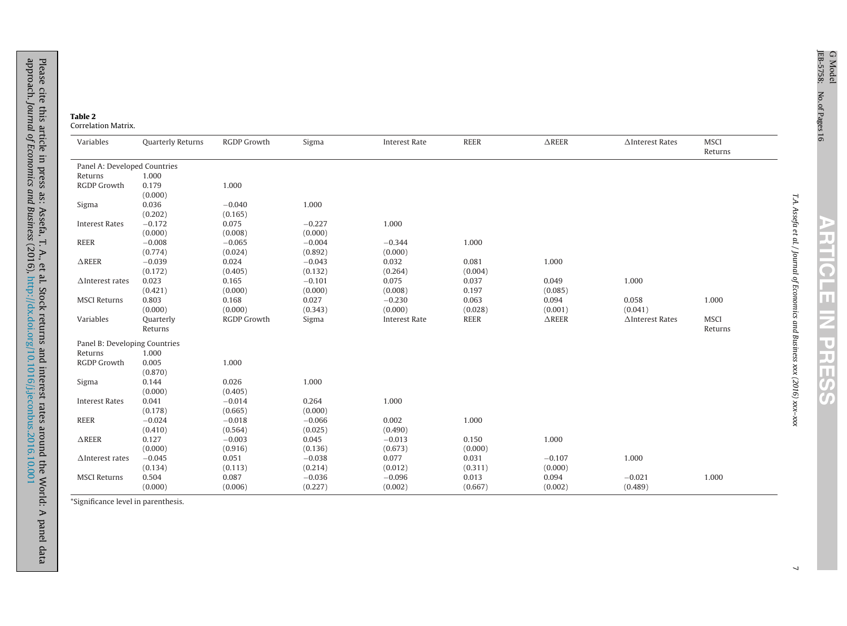### <span id="page-6-0"></span>**Table 2**

Correlation Matrix.

| Variables                     | Quarterly Returns | <b>RGDP Growth</b> | Sigma    | <b>Interest Rate</b> | <b>REER</b> | $\triangle$ REER | $\Delta$ Interest Rates | <b>MSCI</b><br>Returns |
|-------------------------------|-------------------|--------------------|----------|----------------------|-------------|------------------|-------------------------|------------------------|
| Panel A: Developed Countries  |                   |                    |          |                      |             |                  |                         |                        |
| Returns                       | 1.000             |                    |          |                      |             |                  |                         |                        |
| RGDP Growth                   | 0.179             | 1.000              |          |                      |             |                  |                         |                        |
|                               | (0.000)           |                    |          |                      |             |                  |                         |                        |
| Sigma                         | 0.036             | $-0.040$           | 1.000    |                      |             |                  |                         |                        |
|                               | (0.202)           | (0.165)            |          |                      |             |                  |                         |                        |
| <b>Interest Rates</b>         | $-0.172$          | 0.075              | $-0.227$ | 1.000                |             |                  |                         |                        |
|                               | (0.000)           | (0.008)            | (0.000)  |                      |             |                  |                         |                        |
| <b>REER</b>                   | $-0.008$          | $-0.065$           | $-0.004$ | $-0.344$             | 1.000       |                  |                         |                        |
|                               | (0.774)           | (0.024)            | (0.892)  | (0.000)              |             |                  |                         |                        |
| $\triangle$ REER              | $-0.039$          | 0.024              | $-0.043$ | 0.032                | 0.081       | 1.000            |                         |                        |
|                               | (0.172)           | (0.405)            | (0.132)  | (0.264)              | (0.004)     |                  |                         |                        |
| $\Delta$ Interest rates       | 0.023             | 0.165              | $-0.101$ | 0.075                | 0.037       | 0.049            | 1.000                   |                        |
|                               | (0.421)           | (0.000)            | (0.000)  | (0.008)              | 0.197       | (0.085)          |                         |                        |
| <b>MSCI Returns</b>           | 0.803             | 0.168              | 0.027    | $-0.230$             | 0.063       | 0.094            | 0.058                   | 1.000                  |
|                               | (0.000)           | (0.000)            | (0.343)  | (0.000)              | (0.028)     | (0.001)          | (0.041)                 |                        |
| Variables                     | Quarterly         | <b>RGDP Growth</b> | Sigma    | <b>Interest Rate</b> | <b>REER</b> | $\triangle$ REER | $\Delta$ Interest Rates | <b>MSCI</b>            |
|                               | Returns           |                    |          |                      |             |                  |                         | Returns                |
| Panel B: Developing Countries |                   |                    |          |                      |             |                  |                         |                        |
| Returns                       | 1.000             |                    |          |                      |             |                  |                         |                        |
| RGDP Growth                   | 0.005             | 1.000              |          |                      |             |                  |                         |                        |
|                               | (0.870)           |                    |          |                      |             |                  |                         |                        |
| Sigma                         | 0.144             | 0.026              | 1.000    |                      |             |                  |                         |                        |
|                               | (0.000)           | (0.405)            |          |                      |             |                  |                         |                        |
| <b>Interest Rates</b>         | 0.041             | $-0.014$           | 0.264    | 1.000                |             |                  |                         |                        |
|                               | (0.178)           | (0.665)            | (0.000)  |                      |             |                  |                         |                        |
| <b>REER</b>                   | $-0.024$          | $-0.018$           | $-0.066$ | 0.002                | 1.000       |                  |                         |                        |
|                               | (0.410)           | (0.564)            | (0.025)  | (0.490)              |             |                  |                         |                        |
| $\triangle$ REER              | 0.127             | $-0.003$           | 0.045    | $-0.013$             | 0.150       | 1.000            |                         |                        |
|                               | (0.000)           | (0.916)            | (0.136)  | (0.673)              | (0.000)     |                  |                         |                        |
| $\Delta$ Interest rates       | $-0.045$          | 0.051              | $-0.038$ | 0.077                | 0.031       | $-0.107$         | 1.000                   |                        |
|                               | (0.134)           | (0.113)            | (0.214)  | (0.012)              | (0.311)     | (0.000)          |                         |                        |
| <b>MSCI Returns</b>           | 0.504             | 0.087              | $-0.036$ | $-0.096$             | 0.013       | 0.094            | $-0.021$                | 1.000                  |
|                               | (0.000)           | (0.006)            | (0.227)  | (0.002)              | (0.667)     | (0.002)          | (0.489)                 |                        |

\*Significance level in parenthesis.

T.A.

Assefa et al. / Journal of Economics

and Business xxx (2016)

xxx–xxx

G Model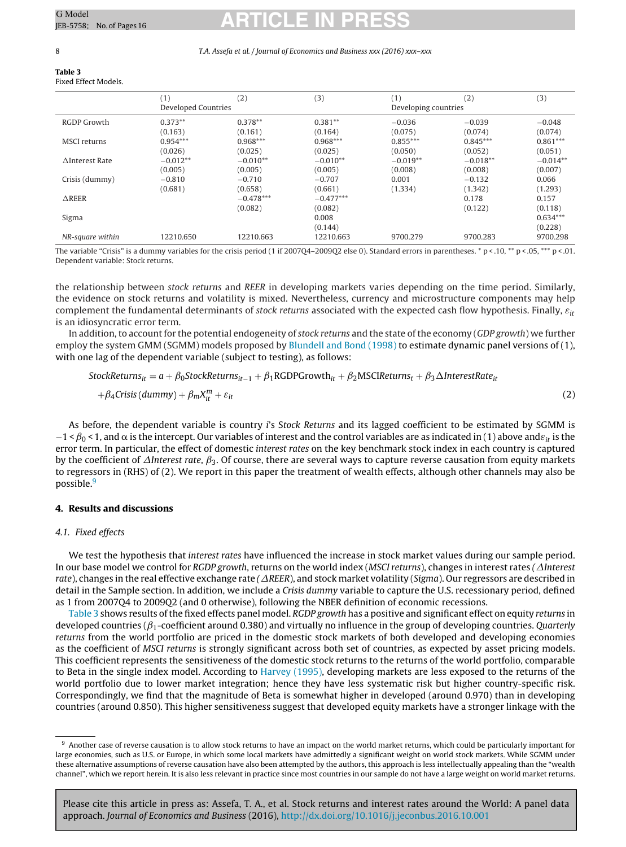# <span id="page-7-0"></span>8 T.A. Assefa et al. / Journal of Economics and Business xxx (2016) xxx–xxx

| Table 3              |  |
|----------------------|--|
| Fixed Effect Models. |  |

|                        | $\left(1\right)$<br>Developed Countries | (2)                    | (3)                    | (1)<br>Developing countries | (2)                   | (3)                   |
|------------------------|-----------------------------------------|------------------------|------------------------|-----------------------------|-----------------------|-----------------------|
| RGDP Growth            | $0.373**$                               | $0.378**$              | $0.381**$              | $-0.036$                    | $-0.039$              | $-0.048$              |
| <b>MSCI</b> returns    | (0.163)<br>$0.954***$                   | (0.161)<br>$0.968***$  | (0.164)<br>$0.968***$  | (0.075)<br>$0.855***$       | (0.074)<br>$0.845***$ | (0.074)<br>$0.861***$ |
| $\Delta$ Interest Rate | (0.026)<br>$-0.012**$                   | (0.025)<br>$-0.010**$  | (0.025)<br>$-0.010**$  | (0.050)<br>$-0.019**$       | (0.052)<br>$-0.018**$ | (0.051)<br>$-0.014**$ |
|                        | (0.005)                                 | (0.005)                | (0.005)                | (0.008)                     | (0.008)               | (0.007)               |
| Crisis (dummy)         | $-0.810$<br>(0.681)                     | $-0.710$<br>(0.658)    | $-0.707$<br>(0.661)    | 0.001<br>(1.334)            | $-0.132$<br>(1.342)   | 0.066<br>(1.293)      |
| $\triangle$ REER       |                                         | $-0.478***$<br>(0.082) | $-0.477***$<br>(0.082) |                             | 0.178<br>(0.122)      | 0.157<br>(0.118)      |
| Sigma                  |                                         |                        | 0.008<br>(0.144)       |                             |                       | $0.634***$<br>(0.228) |
| NR-square within       | 12210.650                               | 12210.663              | 12210.663              | 9700.279                    | 9700.283              | 9700.298              |

The variable "Crisis" is a dummy variables for the crisis period (1 if 2007Q4-2009Q2 else 0). Standard errors in parentheses. \* p < .10, \*\* p < .05, \*\*\* p < .01. Dependent variable: Stock returns.

the relationship between stock returns and REER in developing markets varies depending on the time period. Similarly, the evidence on stock returns and volatility is mixed. Nevertheless, currency and microstructure components may help complement the fundamental determinants of stock returns associated with the expected cash flow hypothesis. Finally,  $\varepsilon_{it}$ is an idiosyncratic error term.

In addition, to account for the potential endogeneity of stock returns and the state of the economy (GDP growth) we further employ the system GMM (SGMM) models proposed by [Blundell](#page-14-0) [and](#page-14-0) [Bond](#page-14-0) [\(1998\)](#page-14-0) to estimate dynamic panel versions of (1), with one lag of the dependent variable (subject to testing), as follows:

StockReturns<sub>it</sub> = 
$$
a + \beta_0
$$
StockReturns<sub>it-1</sub> +  $\beta_1$ RGDPGrowth<sub>it</sub> +  $\beta_2$ MSCIReturns<sub>t</sub> +  $\beta_3$ ∆InterestRate<sub>it</sub>  
+ $\beta_4$ Crisis (dummy) +  $\beta_m X_{it}^m + \varepsilon_{it}$  (2)

As before, the dependent variable is country i's Stock Returns and its lagged coefficient to be estimated by SGMM is  $-1 < \beta_0 < 1$ , and  $\alpha$  is the intercept. Our variables of interest and the control variables are as indicated in (1) above and $\varepsilon_{it}$  is the error term. In particular, the effect of domestic interest rates on the key benchmark stock index in each country is captured by the coefficient of  $\Delta$ Interest rate,  $\beta_3$ . Of course, there are several ways to capture reverse causation from equity markets to regressors in (RHS) of (2). We report in this paper the treatment of wealth effects, although other channels may also be possible.<sup>9</sup>

# **4. Results and discussions**

# 4.1. Fixed effects

We test the hypothesis that interest rates have influenced the increase in stock market values during our sample period. In our base model we control for RGDP growth, returns on the world index (MSCI returns), changes in interest rates ( $\Delta$ Interest rate), changes in the real effective exchange rate ( $\triangle$ REER), and stock market volatility (Sigma). Our regressors are described in detail in the Sample section. In addition, we include a Crisis dummy variable to capture the U.S. recessionary period, defined as 1 from 2007Q4 to 2009Q2 (and 0 otherwise), following the NBER definition of economic recessions.

Table 3 shows results ofthe fixed effects panel model. RGDP growth has a positive and significant effect on equity returns in developed countries ( $\beta_1$ -coefficient around 0.380) and virtually no influence in the group of developing countries. Quarterly returns from the world portfolio are priced in the domestic stock markets of both developed and developing economies as the coefficient of MSCI returns is strongly significant across both set of countries, as expected by asset pricing models. This coefficient represents the sensitiveness of the domestic stock returns to the returns of the world portfolio, comparable to Beta in the single index model. According to [Harvey](#page-14-0) [\(1995\),](#page-14-0) developing markets are less exposed to the returns of the world portfolio due to lower market integration; hence they have less systematic risk but higher country-specific risk. Correspondingly, we find that the magnitude of Beta is somewhat higher in developed (around 0.970) than in developing countries (around 0.850). This higher sensitiveness suggest that developed equity markets have a stronger linkage with the

 $9$  Another case of reverse causation is to allow stock returns to have an impact on the world market returns, which could be particularly important for large economies, such as U.S. or Europe, in which some local markets have admittedly a significant weight on world stock markets. While SGMM under these alternative assumptions of reverse causation have also been attempted by the authors, this approach is less intellectually appealing than the "wealth channel", which we report herein. It is also less relevant in practice since most countries in our sample do not have a large weight on world market returns.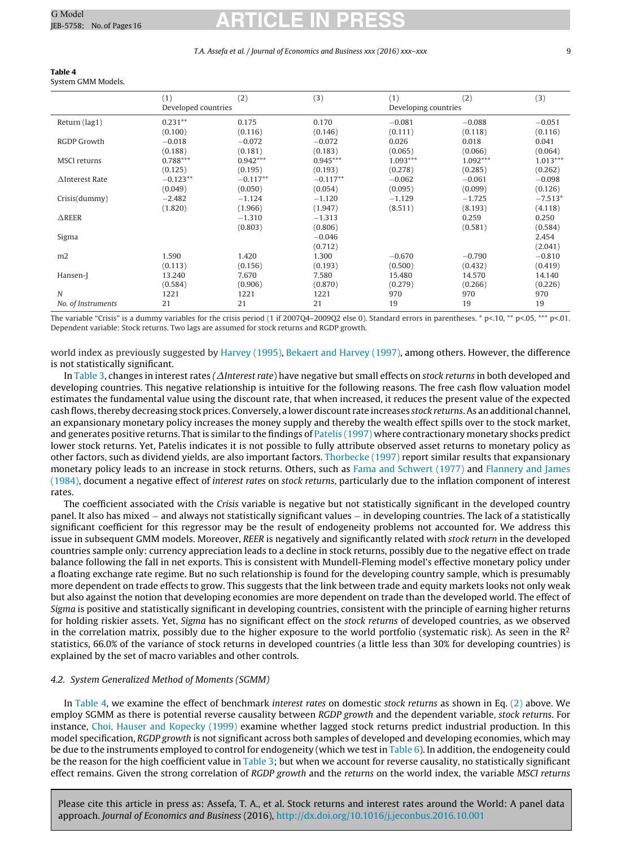# T.A. Assefa et al. / Journal of Economics and Business xxx (2016) xxx–xxx 9

|                        | (1)                 | (2)        | (3)        | (1)                  | (2)        | (3)        |
|------------------------|---------------------|------------|------------|----------------------|------------|------------|
|                        | Developed countries |            |            | Developing countries |            |            |
| Return (lag1)          | $0.231**$           | 0.175      | 0.170      | $-0.081$             | $-0.088$   | $-0.051$   |
|                        | (0.100)             | (0.116)    | (0.146)    | (0.111)              | (0.118)    | (0.116)    |
| <b>RGDP Growth</b>     | $-0.018$            | $-0.072$   | $-0.072$   | 0.026                | 0.018      | 0.041      |
|                        | (0.188)             | (0.181)    | (0.183)    | (0.065)              | (0.066)    | (0.064)    |
| <b>MSCI</b> returns    | $0.788***$          | $0.942***$ | $0.945***$ | $1.093***$           | $1.092***$ | $1.013***$ |
|                        | (0.125)             | (0.195)    | (0.193)    | (0.278)              | (0.285)    | (0.262)    |
| $\Delta$ Interest Rate | $-0.123**$          | $-0.117**$ | $-0.117**$ | $-0.062$             | $-0.061$   | $-0.098$   |
|                        | (0.049)             | (0.050)    | (0.054)    | (0.095)              | (0.099)    | (0.126)    |
| Crisis(dummy)          | $-2.482$            | $-1.124$   | $-1.120$   | $-1.129$             | $-1.725$   | $-7.513*$  |
|                        | (1.820)             | (1.966)    | (1.947)    | (8.511)              | (8.193)    | (4.118)    |
| $\triangle$ REER       |                     | $-1.310$   | $-1.313$   |                      | 0.259      | 0.250      |
|                        |                     | (0.803)    | (0.806)    |                      | (0.581)    | (0.584)    |
| Sigma                  |                     |            | $-0.046$   |                      |            | 2.454      |
|                        |                     |            | (0.712)    |                      |            | (2.041)    |
| m2                     | 1.590               | 1.420      | 1.300      | $-0.670$             | $-0.790$   | $-0.810$   |
|                        | (0.113)             | (0.156)    | (0.193)    | (0.500)              | (0.432)    | (0.419)    |
| Hansen-J               | 13.240              | 7.670      | 7.580      | 15.480               | 14.570     | 14.140     |
|                        | (0.584)             | (0.906)    | (0.870)    | (0.279)              | (0.266)    | (0.226)    |
| $\boldsymbol{N}$       | 1221                | 1221       | 1221       | 970                  | 970        | 970        |
| No. of Instruments     | 21                  | 21         | 21         | 19                   | 19         | 19         |

# <span id="page-8-0"></span>**Table 4**

System GMM Models.

The variable "Crisis" is a dummy variables for the crisis period (1 if 2007Q4–2009Q2 else 0). Standard errors in parentheses. \* p<.10, \*\* p<.05, \*\*\* p<.01. Dependent variable: Stock returns. Two lags are assumed for stock returns and RGDP growth.

world index as previously suggested by [Harvey](#page-14-0) [\(1995\),](#page-14-0) [Bekaert](#page-14-0) [and](#page-14-0) [Harvey](#page-14-0) [\(1997\),](#page-14-0) among others. However, the difference is not statistically significant.

In [Table](#page-7-0) 3, changes in interest rates ( $\Delta$ Interest rate) have negative but small effects on stock returns in both developed and developing countries. This negative relationship is intuitive for the following reasons. The free cash flow valuation model estimates the fundamental value using the discount rate, that when increased, it reduces the present value of the expected cash flows, thereby decreasing stock prices. Conversely, a lower discount rate increases stock returns. As an additional channel, an expansionary monetary policy increases the money supply and thereby the wealth effect spills over to the stock market, and generates positive returns. That is similar to the findings of [Patelis](#page-15-0) [\(1997\)](#page-15-0) where contractionary monetary shocks predict lower stock returns. Yet, Patelis indicates it is not possible to fully attribute observed asset returns to monetary policy as other factors, such as dividend yields, are also important factors. [Thorbecke](#page-15-0) [\(1997\)](#page-15-0) report similar results that expansionary monetary policy leads to an increase in stock returns. Others, such as [Fama](#page-14-0) [and](#page-14-0) [Schwert](#page-14-0) [\(1977\)](#page-14-0) and [Flannery](#page-14-0) and [James](#page-14-0) [\(1984\),](#page-14-0) document a negative effect of interest rates on stock returns, particularly due to the inflation component of interest rates.

The coefficient associated with the Crisis variable is negative but not statistically significant in the developed country panel. It also has mixed − and always not statistically significant values − in developing countries. The lack of a statistically significant coefficient for this regressor may be the result of endogeneity problems not accounted for. We address this issue in subsequent GMM models. Moreover, REER is negatively and significantly related with stock return in the developed countries sample only: currency appreciation leads to a decline in stock returns, possibly due to the negative effect on trade balance following the fall in net exports. This is consistent with Mundell-Fleming model's effective monetary policy under a floating exchange rate regime. But no such relationship is found for the developing country sample, which is presumably more dependent on trade effects to grow. This suggests that the link between trade and equity markets looks not only weak but also against the notion that developing economies are more dependent on trade than the developed world. The effect of Sigma is positive and statistically significant in developing countries, consistent with the principle of earning higher returns for holding riskier assets. Yet, Sigma has no significant effect on the stock returns of developed countries, as we observed in the correlation matrix, possibly due to the higher exposure to the world portfolio (systematic risk). As seen in the  $\mathbb{R}^2$ statistics, 66.0% of the variance of stock returns in developed countries (a little less than 30% for developing countries) is explained by the set of macro variables and other controls.

# 4.2. System Generalized Method of Moments (SGMM)

In Table 4, we examine the effect of benchmark interest rates on domestic stock returns as shown in Eq. [\(2\)](#page-7-0) above. We employ SGMM as there is potential reverse causality between RGDP growth and the dependent variable, stock returns. For instance, [Choi,](#page-14-0) [Hauser](#page-14-0) [and](#page-14-0) [Kopecky](#page-14-0) [\(1999\)](#page-14-0) examine whether lagged stock returns predict industrial production. In this model specification, RGDP growth is not significant across both samples of developed and developing economies, which may be due to the instruments employed to control for endogeneity (which we test in [Table](#page-9-0) 6). In addition, the endogeneity could be the reason for the high coefficient value in [Table](#page-7-0) 3; but when we account for reverse causality, no statistically significant effect remains. Given the strong correlation of RGDP growth and the returns on the world index, the variable MSCI returns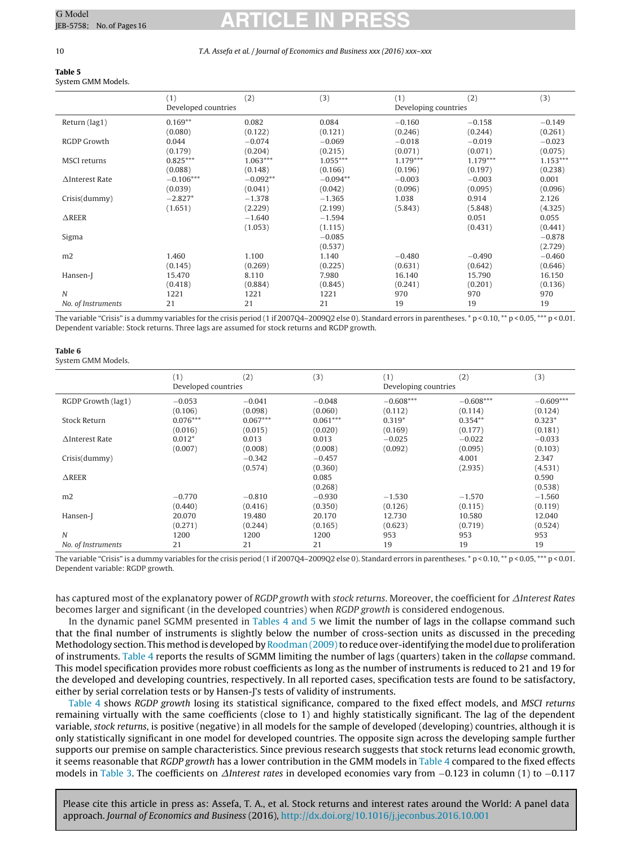# <span id="page-9-0"></span>10 T.A. Assefa et al. / Journal of Economics and Business xxx (2016) xxx–xxx

# **Table 5**

| System GMM Models.              |                          |
|---------------------------------|--------------------------|
|                                 | (1)<br>Developed countri |
| $R$ eturn $(1$ <sub>201</sub> ) | $0.169**$                |

|                        | (1)                 | (2)        | (3)        | (1)                  | (2)        | (3)        |
|------------------------|---------------------|------------|------------|----------------------|------------|------------|
|                        | Developed countries |            |            | Developing countries |            |            |
| Return (lag1)          | $0.169**$           | 0.082      | 0.084      | $-0.160$             | $-0.158$   | $-0.149$   |
|                        | (0.080)             | (0.122)    | (0.121)    | (0.246)              | (0.244)    | (0.261)    |
| RGDP Growth            | 0.044               | $-0.074$   | $-0.069$   | $-0.018$             | $-0.019$   | $-0.023$   |
|                        | (0.179)             | (0.204)    | (0.215)    | (0.071)              | (0.071)    | (0.075)    |
| <b>MSCI</b> returns    | $0.825***$          | $1.063***$ | $1.055***$ | $1.179***$           | $1.179***$ | $1.153***$ |
|                        | (0.088)             | (0.148)    | (0.166)    | (0.196)              | (0.197)    | (0.238)    |
| $\Delta$ Interest Rate | $-0.106***$         | $-0.092**$ | $-0.094**$ | $-0.003$             | $-0.003$   | 0.001      |
|                        | (0.039)             | (0.041)    | (0.042)    | (0.096)              | (0.095)    | (0.096)    |
| Crisis(dummy)          | $-2.827*$           | $-1.378$   | $-1.365$   | 1.038                | 0.914      | 2.126      |
|                        | (1.651)             | (2.229)    | (2.199)    | (5.843)              | (5.848)    | (4.325)    |
| $\triangle$ REER       |                     | $-1.640$   | $-1.594$   |                      | 0.051      | 0.055      |
|                        |                     | (1.053)    | (1.115)    |                      | (0.431)    | (0.441)    |
| Sigma                  |                     |            | $-0.085$   |                      |            | $-0.878$   |
|                        |                     |            | (0.537)    |                      |            | (2.729)    |
| m2                     | 1.460               | 1.100      | 1.140      | $-0.480$             | $-0.490$   | $-0.460$   |
|                        | (0.145)             | (0.269)    | (0.225)    | (0.631)              | (0.642)    | (0.646)    |
| Hansen-J               | 15,470              | 8.110      | 7.980      | 16.140               | 15.790     | 16.150     |
|                        | (0.418)             | (0.884)    | (0.845)    | (0.241)              | (0.201)    | (0.136)    |
| $\boldsymbol{N}$       | 1221                | 1221       | 1221       | 970                  | 970        | 970        |
| No. of Instruments     | 21                  | 21         | 21         | 19                   | 19         | 19         |

The variable "Crisis" is a dummy variables for the crisis period (1 if 2007Q4–2009Q2 else 0). Standard errors in parentheses. \*  $p$  < 0.10, \*\*  $p$  < 0.05, \*\*\*  $p$  < 0.01. Dependent variable: Stock returns. Three lags are assumed for stock returns and RGDP growth.

### **Table 6**

System GMM Models.

|                    | (1)<br>Developed countries | (2)        | (3)        | (1)<br>Developing countries | (2)         | (3)         |
|--------------------|----------------------------|------------|------------|-----------------------------|-------------|-------------|
| RGDP Growth (lag1) | $-0.053$                   | $-0.041$   | $-0.048$   | $-0.608***$                 | $-0.608***$ | $-0.609***$ |
|                    | (0.106)                    | (0.098)    | (0.060)    | (0.112)                     | (0.114)     | (0.124)     |
| Stock Return       | $0.076***$                 | $0.067***$ | $0.061***$ | $0.319*$                    | $0.354**$   | $0.323*$    |
|                    | (0.016)                    | (0.015)    | (0.020)    | (0.169)                     | (0.177)     | (0.181)     |
| AInterest Rate     | $0.012*$                   | 0.013      | 0.013      | $-0.025$                    | $-0.022$    | $-0.033$    |
|                    | (0.007)                    | (0.008)    | (0.008)    | (0.092)                     | (0.095)     | (0.103)     |
| Crisis(dummy)      |                            | $-0.342$   | $-0.457$   |                             | 4.001       | 2.347       |
|                    |                            | (0.574)    | (0.360)    |                             | (2.935)     | (4.531)     |
| $\triangle$ REER   |                            |            | 0.085      |                             |             | 0.590       |
|                    |                            |            | (0.268)    |                             |             | (0.538)     |
| m2                 | $-0.770$                   | $-0.810$   | $-0.930$   | $-1.530$                    | $-1.570$    | $-1.560$    |
|                    | (0.440)                    | (0.416)    | (0.350)    | (0.126)                     | (0.115)     | (0.119)     |
| Hansen-J           | 20.070                     | 19.480     | 20.170     | 12.730                      | 10.580      | 12.040      |
|                    | (0.271)                    | (0.244)    | (0.165)    | (0.623)                     | (0.719)     | (0.524)     |
| N                  | 1200                       | 1200       | 1200       | 953                         | 953         | 953         |
| No. of Instruments | 21                         | 21         | 21         | 19                          | 19          | 19          |

The variable "Crisis" is a dummy variables for the crisis period (1 if 2007Q4–2009Q2 else 0). Standard errors in parentheses. \*  $p$  < 0.10, \*\*  $p$  < 0.05, \*\*\*  $p$  < 0.01. Dependent variable: RGDP growth.

has captured most of the explanatory power of RGDP growth with stock returns. Moreover, the coefficient for  $\Delta$ Interest Rates becomes larger and significant (in the developed countries) when RGDP growth is considered endogenous.

In the dynamic panel SGMM presented in [Tables](#page-8-0) 4 and 5 we limit the number of lags in the collapse command such that the final number of instruments is slightly below the number of cross-section units as discussed in the preceding Methodology section. This method is developed by [Roodman](#page-15-0) (2009) to reduce over-identifying the model due to proliferation of instruments. [Table](#page-8-0) 4 reports the results of SGMM limiting the number of lags (quarters) taken in the collapse command. This model specification provides more robust coefficients as long as the number of instruments is reduced to 21 and 19 for the developed and developing countries, respectively. In all reported cases, specification tests are found to be satisfactory, either by serial correlation tests or by Hansen-J's tests of validity of instruments.

[Table](#page-8-0) 4 shows RGDP growth losing its statistical significance, compared to the fixed effect models, and MSCI returns remaining virtually with the same coefficients (close to 1) and highly statistically significant. The lag of the dependent variable, stock returns, is positive (negative) in all models for the sample of developed (developing) countries, although it is only statistically significant in one model for developed countries. The opposite sign across the developing sample further supports our premise on sample characteristics. Since previous research suggests that stock returns lead economic growth, it seems reasonable that RGDP growth has a lower contribution in the GMM models in [Table](#page-8-0) 4 compared to the fixed effects models in [Table](#page-7-0) 3. The coefficients on  $\Delta$ Interest rates in developed economies vary from −0.123 in column (1) to −0.117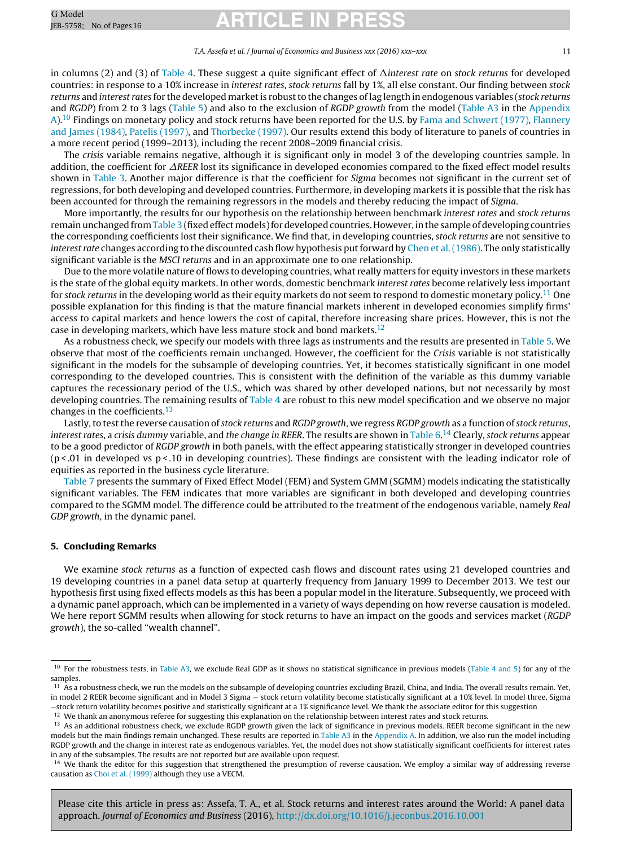### T.A. Assefa et al. / Journal of Economics and Business xxx (2016) xxx–xxx 11

in columns (2) and (3) of [Table](#page-8-0) 4. These suggest a quite significant effect of  $\Delta$ interest rate on stock returns for developed countries: in response to a 10% increase in interest rates, stock returns fall by 1%, all else constant. Our finding between stock returns and interest rates for the developed market is robust to the changes of lag length in endogenous variables (stock returns and RGDP) from 2 to 3 lags [\(Table](#page-9-0) 5) and also to the exclusion of RGDP growth from the model ([Table](#page-14-0) A3 in the [Appendix](#page-11-0)  $A$ ).<sup>10</sup> Findings on monetary policy and stock returns have been reported for the U.S. by [Fama](#page-14-0) [and](#page-14-0) [Schwert](#page-14-0) [\(1977\),](#page-14-0) [Flannery](#page-14-0) [and](#page-14-0) [James](#page-14-0) [\(1984\),](#page-14-0) [Patelis](#page-15-0) [\(1997\),](#page-15-0) and [Thorbecke](#page-15-0) [\(1997\).](#page-15-0) Our results extend this body of literature to panels of countries in a more recent period (1999–2013), including the recent 2008–2009 financial crisis.

The crisis variable remains negative, although it is significant only in model 3 of the developing countries sample. In addition, the coefficient for  $\triangle$ REER lost its significance in developed economies compared to the fixed effect model results shown in [Table](#page-7-0) 3. Another major difference is that the coefficient for Sigma becomes not significant in the current set of regressions, for both developing and developed countries. Furthermore, in developing markets it is possible that the risk has been accounted for through the remaining regressors in the models and thereby reducing the impact of Sigma.

More importantly, the results for our hypothesis on the relationship between benchmark interest rates and stock returns remain unchanged from [Table](#page-7-0) 3 (fixed effect models) for developed countries. However, in the sample of developing countries the corresponding coefficients lost their significance. We find that, in developing countries, stock returns are not sensitive to interest rate changes according to the discounted cash flow hypothesis put forward by [Chen](#page-14-0) et al. (1986). The only statistically significant variable is the MSCI returns and in an approximate one to one relationship.

Due to the more volatile nature of flows to developing countries, what really matters for equity investors in these markets is the state of the global equity markets. In other words, domestic benchmark interest rates become relatively less important for stock returns in the developing world as their equity markets do not seem to respond to domestic monetary policy.<sup>11</sup> One possible explanation for this finding is that the mature financial markets inherent in developed economies simplify firms' access to capital markets and hence lowers the cost of capital, therefore increasing share prices. However, this is not the case in developing markets, which have less mature stock and bond markets.<sup>12</sup>

As a robustness check, we specify our models with three lags as instruments and the results are presented in [Table](#page-9-0) 5. We observe that most of the coefficients remain unchanged. However, the coefficient for the Crisis variable is not statistically significant in the models for the subsample of developing countries. Yet, it becomes statistically significant in one model corresponding to the developed countries. This is consistent with the definition of the variable as this dummy variable captures the recessionary period of the U.S., which was shared by other developed nations, but not necessarily by most developing countries. The remaining results of [Table](#page-8-0) 4 are robust to this new model specification and we observe no major changes in the coefficients.<sup>13</sup>

Lastly, to test the reverse causation of stock returns and RGDP growth, we regress RGDP growth as a function of stock returns, interest rates, a crisis dummy variable, and the change in REER. The results are shown in [Table](#page-9-0) 6.<sup>14</sup> Clearly, stock returns appear to be a good predictor of RGDP growth in both panels, with the effect appearing statistically stronger in developed countries  $(p < .01$  in developed vs  $p < .10$  in developing countries). These findings are consistent with the leading indicator role of equities as reported in the business cycle literature.

[Table](#page-11-0) 7 presents the summary of Fixed Effect Model (FEM) and System GMM (SGMM) models indicating the statistically significant variables. The FEM indicates that more variables are significant in both developed and developing countries compared to the SGMM model. The difference could be attributed to the treatment of the endogenous variable, namely Real GDP growth, in the dynamic panel.

# **5. Concluding Remarks**

We examine stock returns as a function of expected cash flows and discount rates using 21 developed countries and 19 developing countries in a panel data setup at quarterly frequency from January 1999 to December 2013. We test our hypothesis first using fixed effects models as this has been a popular model in the literature. Subsequently, we proceed with a dynamic panel approach, which can be implemented in a variety of ways depending on how reverse causation is modeled. We here report SGMM results when allowing for stock returns to have an impact on the goods and services market (RGDP growth), the so-called "wealth channel".

<sup>&</sup>lt;sup>10</sup> For the robustness tests, in [Table](#page-8-0) A3, we exclude Real GDP as it shows no statistical significance in previous models (Table 4 and 5) for any of the samples.

<sup>&</sup>lt;sup>11</sup> As a robustness check, we run the models on the subsample of developing countries excluding Brazil, China, and India. The overall results remain. Yet, in model 2 REER become significant and in Model 3 Sigma – stock return volatility become statistically significant at a 10% level. In model three, Sigma – stock return volatility becomes positive and statistically signifi

<sup>&</sup>lt;sup>12</sup> We thank an anonymous referee for suggesting this explanation on the relationship between interest rates and stock returns.

<sup>&</sup>lt;sup>13</sup> As an additional robustness check, we exclude RGDP growth given the lack of significance in previous models. REER become significant in the new models but the main findings remain unchanged. These results are reported in [Table](#page-14-0) A3 in the [Appendix](#page-11-0) [A.](#page-11-0) In addition, we also run the model including RGDP growth and the change in interest rate as endogenous variables. Yet, the model does not show statistically significant coefficients for interest rates in any of the subsamples. The results are not reported but are available upon request.

<sup>&</sup>lt;sup>14</sup> We thank the editor for this suggestion that strengthened the presumption of reverse causation. We employ a similar way of addressing reverse causation as [Choi](#page-14-0) et [al.](#page-14-0) [\(1999\)](#page-14-0) although they use a VECM.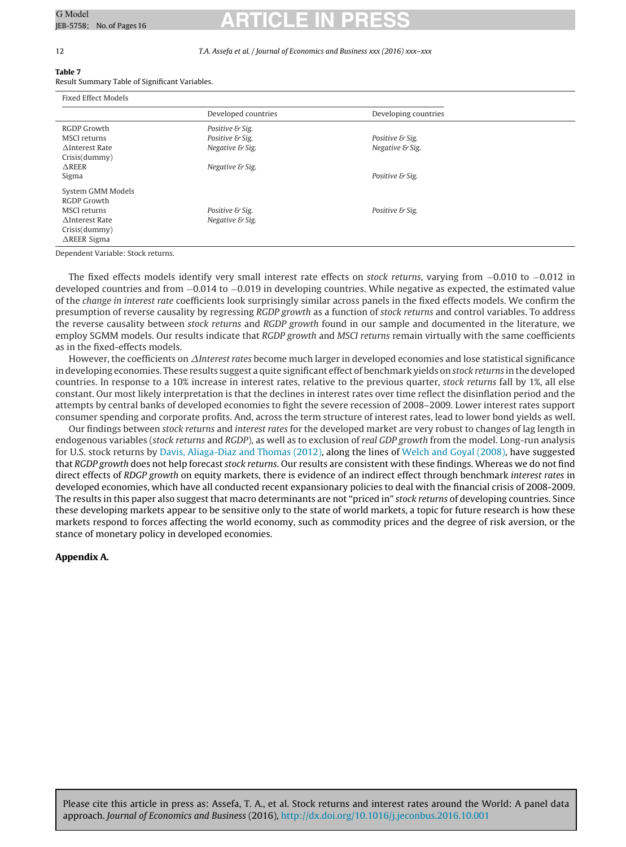# <span id="page-11-0"></span>12 T.A. Assefa et al. / Journal of Economics and Business xxx (2016) xxx–xxx

# **Table 7**

Result Summary Table of Significant Variables.

| Fixed Effect Models    |                     |                      |  |
|------------------------|---------------------|----------------------|--|
|                        | Developed countries | Developing countries |  |
| RGDP Growth            | Positive & Sig.     |                      |  |
| <b>MSCI</b> returns    | Positive & Sig.     | Positive & Sig.      |  |
| AInterest Rate         | Negative & Sig.     | Negative & Sig.      |  |
| Crisis(dummy)          |                     |                      |  |
| $\triangle$ REER       | Negative & Sig.     |                      |  |
| Sigma                  |                     | Positive & Sig.      |  |
| System GMM Models      |                     |                      |  |
| RGDP Growth            |                     |                      |  |
| <b>MSCI</b> returns    | Positive & Sig.     | Positive & Sig.      |  |
| $\Delta$ Interest Rate | Negative & Sig.     |                      |  |
| Crisis(dummy)          |                     |                      |  |
| $\triangle$ REER Sigma |                     |                      |  |

Dependent Variable: Stock returns.

The fixed effects models identify very small interest rate effects on stock returns, varying from −0.010 to −0.012 in developed countries and from −0.014 to −0.019 in developing countries. While negative as expected, the estimated value of the change in interest rate coefficients look surprisingly similar across panels in the fixed effects models. We confirm the presumption of reverse causality by regressing RGDP growth as a function of stock returns and control variables. To address the reverse causality between stock returns and RGDP growth found in our sample and documented in the literature, we employ SGMM models. Our results indicate that RGDP growth and MSCI returns remain virtually with the same coefficients as in the fixed-effects models.

However, the coefficients on *AInterest rates* become much larger in developed economies and lose statistical significance in developing economies. These results suggest a quite significant effect of benchmark yields on stock returns in the developed countries. In response to a 10% increase in interest rates, relative to the previous quarter, stock returns fall by 1%, all else constant. Our most likely interpretation is that the declines in interest rates over time reflect the disinflation period and the attempts by central banks of developed economies to fight the severe recession of 2008–2009. Lower interest rates support consumer spending and corporate profits. And, across the term structure of interest rates, lead to lower bond yields as well.

Our findings between stock returns and interest rates for the developed market are very robust to changes of lag length in endogenous variables (stock returns and RGDP), as well as to exclusion of real GDP growth from the model. Long-run analysis for U.S. stock returns by [Davis,](#page-14-0) [Aliaga-Diaz](#page-14-0) [and](#page-14-0) [Thomas](#page-14-0) [\(2012\),](#page-14-0) along the lines of [Welch](#page-15-0) [and](#page-15-0) [Goyal](#page-15-0) [\(2008\),](#page-15-0) have suggested that RGDP growth does not help forecast stock returns. Our results are consistent with these findings. Whereas we do not find direct effects of RDGP growth on equity markets, there is evidence of an indirect effect through benchmark interest rates in developed economies, which have all conducted recent expansionary policies to deal with the financial crisis of 2008-2009. The results in this paper also suggest that macro determinants are not "priced in" stock returns of developing countries. Since these developing markets appear to be sensitive only to the state of world markets, a topic for future research is how these markets respond to forces affecting the world economy, such as commodity prices and the degree of risk aversion, or the stance of monetary policy in developed economies.

# **Appendix A.**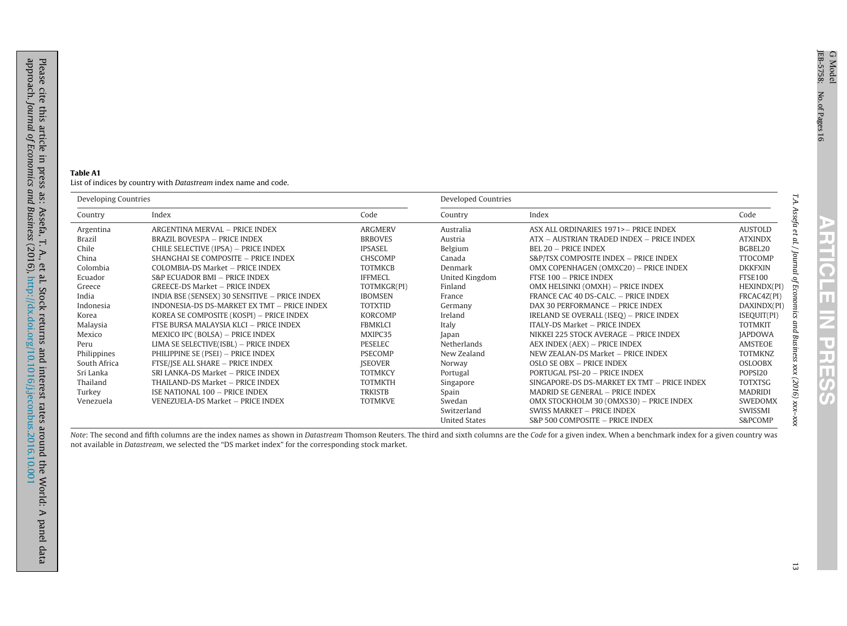### **Table A1**

Please

<span id="page-12-0"></span>approach.

Journal of

Economics

and

Business

(2016),

cite this

article in press as:

Assefa, T. A.,  $\mathbf{r}$ al. Stock

returns

and

interest

[http://dx.doi.org/10.1016/j.jeconbus.2016.10.001](dx.doi.org/10.1016/j.jeconbus.2016.10.001)

rates

around

the

World:  $\triangleright$ panel

data

List of indices by country with Datastream index name and code.

| Developing Countries |                                               |                | Developed Countries  |                                             |                |
|----------------------|-----------------------------------------------|----------------|----------------------|---------------------------------------------|----------------|
| Country              | Index                                         | Code           | Country              | Index                                       | Code           |
| Argentina            | ARGENTINA MERVAL - PRICE INDEX                | ARGMERV        | Australia            | ASX ALL ORDINARIES 1971>- PRICE INDEX       | <b>AUSTOLD</b> |
| <b>Brazil</b>        | <b>BRAZIL BOVESPA - PRICE INDEX</b>           | <b>BRBOVES</b> | Austria              | ATX - AUSTRIAN TRADED INDEX - PRICE INDEX   | <b>ATXINDX</b> |
| Chile                | CHILE SELECTIVE (IPSA) - PRICE INDEX          | <b>IPSASEL</b> | Belgium              | <b>BEL 20 - PRICE INDEX</b>                 | BGBEL20        |
| China                | SHANGHAI SE COMPOSITE - PRICE INDEX           | CHSCOMP        | Canada               | S&P/TSX COMPOSITE INDEX - PRICE INDEX       | <b>TTOCOMP</b> |
| Colombia             | COLOMBIA-DS Market - PRICE INDEX              | <b>TOTMKCB</b> | Denmark              | OMX COPENHAGEN (OMXC20) - PRICE INDEX       | <b>DKKFXIN</b> |
| Ecuador              | <b>S&amp;P ECUADOR BMI - PRICE INDEX</b>      | IFFMECL        | United Kingdom       | FTSE 100 - PRICE INDEX                      | <b>FTSE100</b> |
| Greece               | <b>GREECE-DS Market - PRICE INDEX</b>         | TOTMKGR(PI)    | Finland              | OMX HELSINKI (OMXH) - PRICE INDEX           | HEXINDX(PI)    |
| India                | INDIA BSE (SENSEX) 30 SENSITIVE - PRICE INDEX | <b>IBOMSEN</b> | France               | FRANCE CAC 40 DS-CALC. - PRICE INDEX        | FRCAC4Z(PI)    |
| Indonesia            | INDONESIA-DS DS-MARKET EX TMT - PRICE INDEX   | <b>TOTXTID</b> | Germany              | DAX 30 PERFORMANCE - PRICE INDEX            | DAXINDX(PI)    |
| Korea                | KOREA SE COMPOSITE (KOSPI) - PRICE INDEX      | <b>KORCOMP</b> | Ireland              | IRELAND SE OVERALL (ISEQ) - PRICE INDEX     | ISEQUIT(PI)    |
| Malaysia             | FTSE BURSA MALAYSIA KLCI - PRICE INDEX        | <b>FBMKLCI</b> | Italy                | ITALY-DS Market - PRICE INDEX               | <b>TOTMKIT</b> |
| Mexico               | MEXICO IPC (BOLSA) - PRICE INDEX              | MXIPC35        | Japan                | NIKKEI 225 STOCK AVERAGE - PRICE INDEX      | <b>JAPDOWA</b> |
| Peru                 | LIMA SE SELECTIVE(ISBL) - PRICE INDEX         | PESELEC        | <b>Netherlands</b>   | AEX INDEX (AEX) - PRICE INDEX               | <b>AMSTEOE</b> |
| Philippines          | PHILIPPINE SE (PSEI) - PRICE INDEX            | <b>PSECOMP</b> | New Zealand          | NEW ZEALAN-DS Market - PRICE INDEX          | <b>TOTMKNZ</b> |
| South Africa         | FTSE/JSE ALL SHARE - PRICE INDEX              | <b>ISEOVER</b> | Norway               | OSLO SE OBX - PRICE INDEX                   | <b>OSLOOBX</b> |
| Sri Lanka            | SRI LANKA-DS Market - PRICE INDEX             | <b>TOTMKCY</b> | Portugal             | PORTUGAL PSI-20 - PRICE INDEX               | POPSI20        |
| Thailand             | THAILAND-DS Market - PRICE INDEX              | <b>TOTMKTH</b> | Singapore            | SINGAPORE-DS DS-MARKET EX TMT - PRICE INDEX | <b>TOTXTSG</b> |
| Turkey               | ISE NATIONAL 100 - PRICE INDEX                | <b>TRKISTB</b> | Spain                | <b>MADRID SE GENERAL - PRICE INDEX</b>      | <b>MADRIDI</b> |
| Venezuela            | VENEZUELA-DS Market - PRICE INDEX             | <b>TOTMKVE</b> | Swedan               | OMX STOCKHOLM 30 (OMXS30) - PRICE INDEX     | <b>SWEDOMX</b> |
|                      |                                               |                | Switzerland          | <b>SWISS MARKET - PRICE INDEX</b>           | SWISSMI        |
|                      |                                               |                | <b>United States</b> | S&P 500 COMPOSITE - PRICE INDEX             | S&PCOMP        |

Note: The second and fifth columns are the index names as shown in Datastream Thomson Reuters. The third and sixth columns are the Code for a given index. When a benchmark index for a given country was not available in Datastream, we selected the "DS market index" for the corresponding stock market.

**The Co** 

 $\overline{\mathbf{U}}$ 

29

 $\mathcal{L}(\mathcal{D})$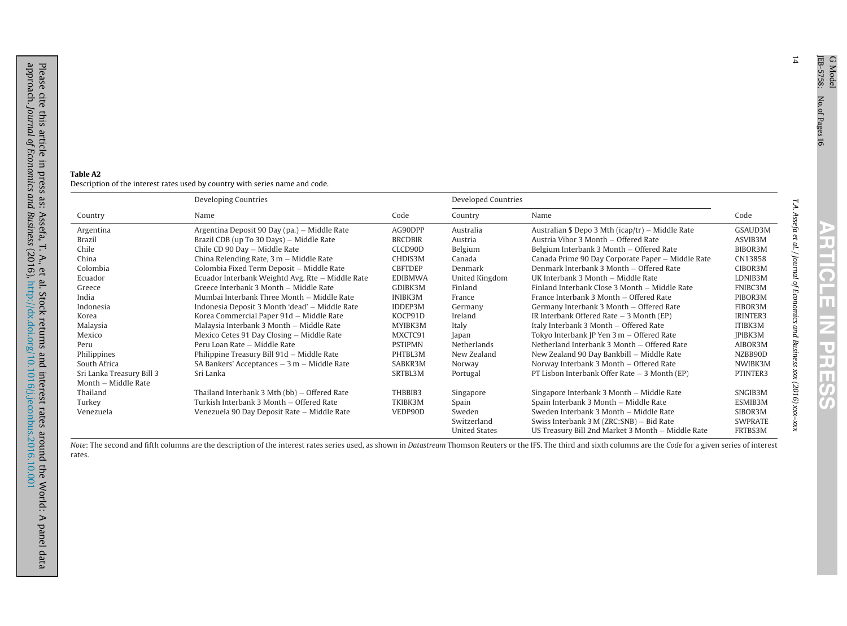lь lu u mar 19 m.  $\bigcap$ **COL** шI

Z. TU. þυ) 29 Ш  $\Omega$  $\Omega$ 

14

| Developing Countries      |                                                  |                | <b>Developed Countries</b> |                                                   |                 |
|---------------------------|--------------------------------------------------|----------------|----------------------------|---------------------------------------------------|-----------------|
| Country                   | Name                                             | Code           | Country                    | Name                                              | Code            |
| Argentina                 | Argentina Deposit 90 Day (pa.) - Middle Rate     | AG90DPP        | Australia                  | Australian \$ Depo 3 Mth (icap/tr) - Middle Rate  | GSAUD3M         |
| <b>Brazil</b>             | Brazil CDB (up To 30 Days) - Middle Rate         | <b>BRCDBIR</b> | Austria                    | Austria Vibor 3 Month - Offered Rate              | ASVIB3M         |
| Chile                     | Chile CD 90 Day - Middle Rate                    | CLCD90D        | Belgium                    | Belgium Interbank 3 Month - Offered Rate          | <b>BIBOR3M</b>  |
| China                     | China Relending Rate, 3 m - Middle Rate          | CHDIS3M        | Canada                     | Canada Prime 90 Day Corporate Paper - Middle Rate | CN13858         |
| Colombia                  | Colombia Fixed Term Deposit - Middle Rate        | <b>CBFTDEP</b> | Denmark                    | Denmark Interbank 3 Month – Offered Rate          | CIBOR3M         |
| Ecuador                   | Ecuador Interbank Weightd Avg. Rte - Middle Rate | <b>EDIBMWA</b> | United Kingdom             | UK Interbank 3 Month - Middle Rate                | LDNIB3M         |
| Greece                    | Greece Interbank 3 Month - Middle Rate           | GDIBK3M        | Finland                    | Finland Interbank Close 3 Month - Middle Rate     | FNIBC3M         |
| India                     | Mumbai Interbank Three Month - Middle Rate       | <b>INIBK3M</b> | France                     | France Interbank 3 Month – Offered Rate           | PIBOR3M         |
| Indonesia                 | Indonesia Deposit 3 Month 'dead' - Middle Rate   | IDDEP3M        | Germany                    | Germany Interbank 3 Month - Offered Rate          | FIBOR3M         |
| Korea                     | Korea Commercial Paper 91d - Middle Rate         | KOCP91D        | Ireland                    | IR Interbank Offered Rate $-$ 3 Month (EP)        | <b>IRINTER3</b> |
| Malaysia                  | Malaysia Interbank 3 Month - Middle Rate         | MYIBK3M        | Italy                      | Italy Interbank 3 Month - Offered Rate            | <b>ITIBK3M</b>  |
| Mexico                    | Mexico Cetes 91 Day Closing - Middle Rate        | MXCTC91        | Japan                      | Tokyo Interbank JP Yen 3 m - Offered Rate         | <b>IPIBK3M</b>  |
| Peru                      | Peru Loan Rate - Middle Rate                     | <b>PSTIPMN</b> | Netherlands                | Netherland Interbank 3 Month - Offered Rate       | AIBOR3M         |
| Philippines               | Philippine Treasury Bill 91d - Middle Rate       | PHTBL3M        | New Zealand                | New Zealand 90 Day Bankbill - Middle Rate         | NZBB90D         |
| South Africa              | SA Bankers' Acceptances - 3 m - Middle Rate      | SABKR3M        | Norway                     | Norway Interbank 3 Month - Offered Rate           | NWIBK3M         |
| Sri Lanka Treasury Bill 3 | Sri Lanka                                        | SRTBL3M        | Portugal                   | PT Lisbon Interbank Offer Rate $-$ 3 Month (EP)   | PTINTER3        |
| Month - Middle Rate       |                                                  |                |                            |                                                   |                 |
| Thailand                  | Thailand Interbank 3 Mth (bb) – Offered Rate     | THBBIB3        | Singapore                  | Singapore Interbank 3 Month - Middle Rate         | SNGIB3M         |
| Turkey                    | Turkish Interbank 3 Month - Offered Rate         | TKIBK3M        | Spain                      | Spain Interbank 3 Month - Middle Rate             | ESMIB3M         |
| Venezuela                 | Venezuela 90 Day Deposit Rate - Middle Rate      | VEDP90D        | Sweden                     | Sweden Interbank 3 Month - Middle Rate            | SIBOR3M         |
|                           |                                                  |                | Switzerland                | Swiss Interbank 3 M (ZRC:SNB) - Bid Rate          | <b>SWPRATE</b>  |
|                           |                                                  |                | <b>United States</b>       | US Treasury Bill 2nd Market 3 Month - Middle Rate | FRTBS3M         |

Note: The second and fifth columns are the description of the interest rates series used, as shown in Datastream Thomson Reuters or the IFS. The third and sixth columns are the Code for a given series of interest rates.

Please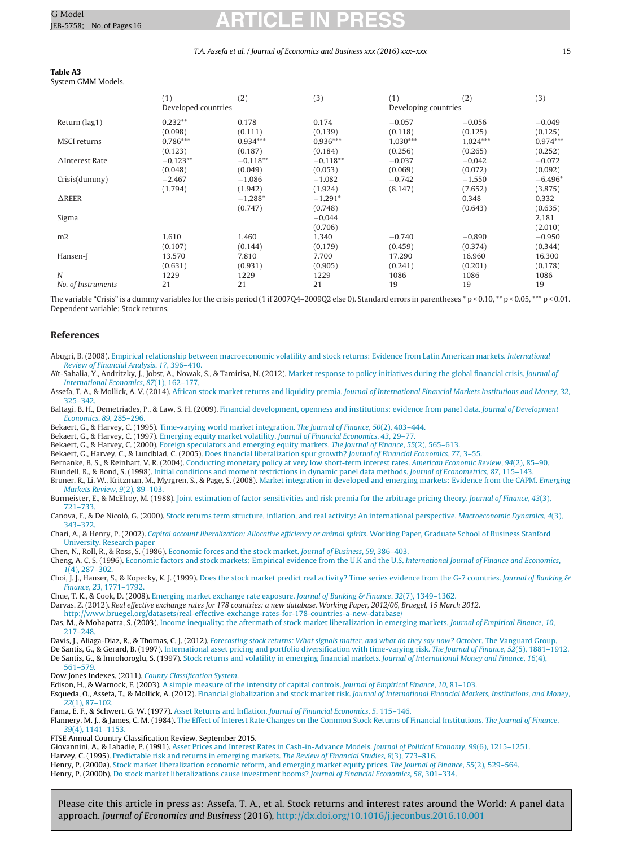## T.A. Assefa et al. / Journal of Economics and Business xxx (2016) xxx–xxx 15

<span id="page-14-0"></span>

| Table A3           |  |
|--------------------|--|
| System GMM Models. |  |

|                        | (1)<br>Developed countries | (2)        | (3)        | (1)<br>Developing countries | (2)        | (3)        |
|------------------------|----------------------------|------------|------------|-----------------------------|------------|------------|
| Return (lag1)          | $0.232**$                  | 0.178      | 0.174      | $-0.057$                    | $-0.056$   | $-0.049$   |
|                        | (0.098)                    | (0.111)    | (0.139)    | (0.118)                     | (0.125)    | (0.125)    |
| <b>MSCI</b> returns    | $0.786***$                 | $0.934***$ | $0.936***$ | $1.030***$                  | $1.024***$ | $0.974***$ |
|                        | (0.123)                    | (0.187)    | (0.184)    | (0.256)                     | (0.265)    | (0.252)    |
| $\Delta$ Interest Rate | $-0.123**$                 | $-0.118**$ | $-0.118**$ | $-0.037$                    | $-0.042$   | $-0.072$   |
|                        | (0.048)                    | (0.049)    | (0.053)    | (0.069)                     | (0.072)    | (0.092)    |
| Crisis(dummy)          | $-2.467$                   | $-1.086$   | $-1.082$   | $-0.742$                    | $-1.550$   | $-6.496*$  |
|                        | (1.794)                    | (1.942)    | (1.924)    | (8.147)                     | (7.652)    | (3.875)    |
| $\triangle$ REER       |                            | $-1.288*$  | $-1.291*$  |                             | 0.348      | 0.332      |
|                        |                            | (0.747)    | (0.748)    |                             | (0.643)    | (0.635)    |
| Sigma                  |                            |            | $-0.044$   |                             |            | 2.181      |
|                        |                            |            | (0.706)    |                             |            | (2.010)    |
| m2                     | 1.610                      | 1.460      | 1.340      | $-0.740$                    | $-0.890$   | $-0.950$   |
|                        | (0.107)                    | (0.144)    | (0.179)    | (0.459)                     | (0.374)    | (0.344)    |
| Hansen-J               | 13.570                     | 7.810      | 7.700      | 17.290                      | 16.960     | 16.300     |
|                        | (0.631)                    | (0.931)    | (0.905)    | (0.241)                     | (0.201)    | (0.178)    |
| N                      | 1229                       | 1229       | 1229       | 1086                        | 1086       | 1086       |
| No. of Instruments     | 21                         | 21         | 21         | 19                          | 19         | 19         |

The variable "Crisis" is a dummy variables for the crisis period (1 if 2007Q4–2009Q2 else 0). Standard errors in parentheses  $* p < 0.10, ** p < 0.05, ** p < 0.01$ . Dependent variable: Stock returns.

### **References**

Abugri, B. (2008). [Empirical](http://refhub.elsevier.com/S0148-6195(16)30054-6/sbref0005) [relationship](http://refhub.elsevier.com/S0148-6195(16)30054-6/sbref0005) [between](http://refhub.elsevier.com/S0148-6195(16)30054-6/sbref0005) [macroeconomic](http://refhub.elsevier.com/S0148-6195(16)30054-6/sbref0005) [volatility](http://refhub.elsevier.com/S0148-6195(16)30054-6/sbref0005) [and](http://refhub.elsevier.com/S0148-6195(16)30054-6/sbref0005) [stock](http://refhub.elsevier.com/S0148-6195(16)30054-6/sbref0005) [returns:](http://refhub.elsevier.com/S0148-6195(16)30054-6/sbref0005) [Evidence](http://refhub.elsevier.com/S0148-6195(16)30054-6/sbref0005) [from](http://refhub.elsevier.com/S0148-6195(16)30054-6/sbref0005) [Latin](http://refhub.elsevier.com/S0148-6195(16)30054-6/sbref0005) [American](http://refhub.elsevier.com/S0148-6195(16)30054-6/sbref0005) [markets.](http://refhub.elsevier.com/S0148-6195(16)30054-6/sbref0005) [International](http://refhub.elsevier.com/S0148-6195(16)30054-6/sbref0005) [Review](http://refhub.elsevier.com/S0148-6195(16)30054-6/sbref0005) [of](http://refhub.elsevier.com/S0148-6195(16)30054-6/sbref0005) [Financial](http://refhub.elsevier.com/S0148-6195(16)30054-6/sbref0005) [Analysis](http://refhub.elsevier.com/S0148-6195(16)30054-6/sbref0005)[,](http://refhub.elsevier.com/S0148-6195(16)30054-6/sbref0005) [17](http://refhub.elsevier.com/S0148-6195(16)30054-6/sbref0005)[,](http://refhub.elsevier.com/S0148-6195(16)30054-6/sbref0005) [396](http://refhub.elsevier.com/S0148-6195(16)30054-6/sbref0005)–[410.](http://refhub.elsevier.com/S0148-6195(16)30054-6/sbref0005)

Aït-Sahalia, Y., Andritzky, J., Jobst, A., Nowak, S., & Tamirisa, N. (2012). [Market](http://refhub.elsevier.com/S0148-6195(16)30054-6/sbref0010) [response](http://refhub.elsevier.com/S0148-6195(16)30054-6/sbref0010) [to](http://refhub.elsevier.com/S0148-6195(16)30054-6/sbref0010) [policy](http://refhub.elsevier.com/S0148-6195(16)30054-6/sbref0010) [initiatives](http://refhub.elsevier.com/S0148-6195(16)30054-6/sbref0010) [during](http://refhub.elsevier.com/S0148-6195(16)30054-6/sbref0010) [the](http://refhub.elsevier.com/S0148-6195(16)30054-6/sbref0010) [global](http://refhub.elsevier.com/S0148-6195(16)30054-6/sbref0010) [financial](http://refhub.elsevier.com/S0148-6195(16)30054-6/sbref0010) [crisis.](http://refhub.elsevier.com/S0148-6195(16)30054-6/sbref0010) [Journal](http://refhub.elsevier.com/S0148-6195(16)30054-6/sbref0010) [of](http://refhub.elsevier.com/S0148-6195(16)30054-6/sbref0010) [International](http://refhub.elsevier.com/S0148-6195(16)30054-6/sbref0010) [Economics](http://refhub.elsevier.com/S0148-6195(16)30054-6/sbref0010)[,](http://refhub.elsevier.com/S0148-6195(16)30054-6/sbref0010) [87](http://refhub.elsevier.com/S0148-6195(16)30054-6/sbref0010)[\(1\),](http://refhub.elsevier.com/S0148-6195(16)30054-6/sbref0010) [162](http://refhub.elsevier.com/S0148-6195(16)30054-6/sbref0010)–[177.](http://refhub.elsevier.com/S0148-6195(16)30054-6/sbref0010)

Assefa, T. A., & Mollick, A. V. (2014). [African](http://refhub.elsevier.com/S0148-6195(16)30054-6/sbref0015) [stock](http://refhub.elsevier.com/S0148-6195(16)30054-6/sbref0015) [market](http://refhub.elsevier.com/S0148-6195(16)30054-6/sbref0015) [returns](http://refhub.elsevier.com/S0148-6195(16)30054-6/sbref0015) [and](http://refhub.elsevier.com/S0148-6195(16)30054-6/sbref0015) [liquidity](http://refhub.elsevier.com/S0148-6195(16)30054-6/sbref0015) [premia.](http://refhub.elsevier.com/S0148-6195(16)30054-6/sbref0015) [Journal](http://refhub.elsevier.com/S0148-6195(16)30054-6/sbref0015) [of](http://refhub.elsevier.com/S0148-6195(16)30054-6/sbref0015) [International](http://refhub.elsevier.com/S0148-6195(16)30054-6/sbref0015) [Financial](http://refhub.elsevier.com/S0148-6195(16)30054-6/sbref0015) [Markets](http://refhub.elsevier.com/S0148-6195(16)30054-6/sbref0015) [Institutions](http://refhub.elsevier.com/S0148-6195(16)30054-6/sbref0015) [and](http://refhub.elsevier.com/S0148-6195(16)30054-6/sbref0015) [Money](http://refhub.elsevier.com/S0148-6195(16)30054-6/sbref0015)[,](http://refhub.elsevier.com/S0148-6195(16)30054-6/sbref0015) [32](http://refhub.elsevier.com/S0148-6195(16)30054-6/sbref0015)[,](http://refhub.elsevier.com/S0148-6195(16)30054-6/sbref0015) [325–342.](http://refhub.elsevier.com/S0148-6195(16)30054-6/sbref0015)

Baltagi, B. H., Demetriades, P., & Law, S. H. (2009). [Financial](http://refhub.elsevier.com/S0148-6195(16)30054-6/sbref0020) [development,](http://refhub.elsevier.com/S0148-6195(16)30054-6/sbref0020) [openness](http://refhub.elsevier.com/S0148-6195(16)30054-6/sbref0020) [and](http://refhub.elsevier.com/S0148-6195(16)30054-6/sbref0020) [institutions:](http://refhub.elsevier.com/S0148-6195(16)30054-6/sbref0020) [evidence](http://refhub.elsevier.com/S0148-6195(16)30054-6/sbref0020) [from](http://refhub.elsevier.com/S0148-6195(16)30054-6/sbref0020) [panel](http://refhub.elsevier.com/S0148-6195(16)30054-6/sbref0020) [data.](http://refhub.elsevier.com/S0148-6195(16)30054-6/sbref0020) [Journal](http://refhub.elsevier.com/S0148-6195(16)30054-6/sbref0020) [of](http://refhub.elsevier.com/S0148-6195(16)30054-6/sbref0020) [Development](http://refhub.elsevier.com/S0148-6195(16)30054-6/sbref0020) [Economics](http://refhub.elsevier.com/S0148-6195(16)30054-6/sbref0020)[,](http://refhub.elsevier.com/S0148-6195(16)30054-6/sbref0020) [89](http://refhub.elsevier.com/S0148-6195(16)30054-6/sbref0020), [285–296.](http://refhub.elsevier.com/S0148-6195(16)30054-6/sbref0020)

Bekaert, G., & Harvey, C. (1995). [Time-varying](http://refhub.elsevier.com/S0148-6195(16)30054-6/sbref0025) [world](http://refhub.elsevier.com/S0148-6195(16)30054-6/sbref0025) [market](http://refhub.elsevier.com/S0148-6195(16)30054-6/sbref0025) [integration.](http://refhub.elsevier.com/S0148-6195(16)30054-6/sbref0025) [The](http://refhub.elsevier.com/S0148-6195(16)30054-6/sbref0025) [Journal](http://refhub.elsevier.com/S0148-6195(16)30054-6/sbref0025) [of](http://refhub.elsevier.com/S0148-6195(16)30054-6/sbref0025) [Finance](http://refhub.elsevier.com/S0148-6195(16)30054-6/sbref0025)[,](http://refhub.elsevier.com/S0148-6195(16)30054-6/sbref0025) [50](http://refhub.elsevier.com/S0148-6195(16)30054-6/sbref0025)[\(2\),](http://refhub.elsevier.com/S0148-6195(16)30054-6/sbref0025) [403–444.](http://refhub.elsevier.com/S0148-6195(16)30054-6/sbref0025)

Bekaert, G., & Harvey, C. (1997). [Emerging](http://refhub.elsevier.com/S0148-6195(16)30054-6/sbref0030) [equity](http://refhub.elsevier.com/S0148-6195(16)30054-6/sbref0030) [market](http://refhub.elsevier.com/S0148-6195(16)30054-6/sbref0030) [volatility.](http://refhub.elsevier.com/S0148-6195(16)30054-6/sbref0030) [Journal](http://refhub.elsevier.com/S0148-6195(16)30054-6/sbref0030) [of](http://refhub.elsevier.com/S0148-6195(16)30054-6/sbref0030) [Financial](http://refhub.elsevier.com/S0148-6195(16)30054-6/sbref0030) [Economics](http://refhub.elsevier.com/S0148-6195(16)30054-6/sbref0030)[,](http://refhub.elsevier.com/S0148-6195(16)30054-6/sbref0030) [43](http://refhub.elsevier.com/S0148-6195(16)30054-6/sbref0030)[,](http://refhub.elsevier.com/S0148-6195(16)30054-6/sbref0030) [29–77.](http://refhub.elsevier.com/S0148-6195(16)30054-6/sbref0030)

Bekaert, G., & Harvey, C. (2000). [Foreign](http://refhub.elsevier.com/S0148-6195(16)30054-6/sbref0035) [speculators](http://refhub.elsevier.com/S0148-6195(16)30054-6/sbref0035) [and](http://refhub.elsevier.com/S0148-6195(16)30054-6/sbref0035) [emerging](http://refhub.elsevier.com/S0148-6195(16)30054-6/sbref0035) [equity](http://refhub.elsevier.com/S0148-6195(16)30054-6/sbref0035) [markets.](http://refhub.elsevier.com/S0148-6195(16)30054-6/sbref0035) [The](http://refhub.elsevier.com/S0148-6195(16)30054-6/sbref0035) [Journal](http://refhub.elsevier.com/S0148-6195(16)30054-6/sbref0035) [of](http://refhub.elsevier.com/S0148-6195(16)30054-6/sbref0035) [Finance](http://refhub.elsevier.com/S0148-6195(16)30054-6/sbref0035)[,](http://refhub.elsevier.com/S0148-6195(16)30054-6/sbref0035) [55](http://refhub.elsevier.com/S0148-6195(16)30054-6/sbref0035)[\(2\),](http://refhub.elsevier.com/S0148-6195(16)30054-6/sbref0035) [565–613.](http://refhub.elsevier.com/S0148-6195(16)30054-6/sbref0035)

Bekaert, G., Harvey, C., & Lundblad, C. (2005). [Does](http://refhub.elsevier.com/S0148-6195(16)30054-6/sbref0040) [financial](http://refhub.elsevier.com/S0148-6195(16)30054-6/sbref0040) [liberalization](http://refhub.elsevier.com/S0148-6195(16)30054-6/sbref0040) [spur](http://refhub.elsevier.com/S0148-6195(16)30054-6/sbref0040) [growth?](http://refhub.elsevier.com/S0148-6195(16)30054-6/sbref0040) [Journal](http://refhub.elsevier.com/S0148-6195(16)30054-6/sbref0040) [of](http://refhub.elsevier.com/S0148-6195(16)30054-6/sbref0040) [Financial](http://refhub.elsevier.com/S0148-6195(16)30054-6/sbref0040) [Economics](http://refhub.elsevier.com/S0148-6195(16)30054-6/sbref0040)[,](http://refhub.elsevier.com/S0148-6195(16)30054-6/sbref0040) [77](http://refhub.elsevier.com/S0148-6195(16)30054-6/sbref0040)[,](http://refhub.elsevier.com/S0148-6195(16)30054-6/sbref0040) [3–55.](http://refhub.elsevier.com/S0148-6195(16)30054-6/sbref0040)

Bernanke, B. S., & Reinhart, V. R. (2004). [Conducting](http://refhub.elsevier.com/S0148-6195(16)30054-6/sbref0045) [monetary](http://refhub.elsevier.com/S0148-6195(16)30054-6/sbref0045) [policy](http://refhub.elsevier.com/S0148-6195(16)30054-6/sbref0045) [at](http://refhub.elsevier.com/S0148-6195(16)30054-6/sbref0045) [very](http://refhub.elsevier.com/S0148-6195(16)30054-6/sbref0045) [low](http://refhub.elsevier.com/S0148-6195(16)30054-6/sbref0045) [short-term](http://refhub.elsevier.com/S0148-6195(16)30054-6/sbref0045) [interest](http://refhub.elsevier.com/S0148-6195(16)30054-6/sbref0045) [rates.](http://refhub.elsevier.com/S0148-6195(16)30054-6/sbref0045) [American](http://refhub.elsevier.com/S0148-6195(16)30054-6/sbref0045) [Economic](http://refhub.elsevier.com/S0148-6195(16)30054-6/sbref0045) [Review](http://refhub.elsevier.com/S0148-6195(16)30054-6/sbref0045), [94](http://refhub.elsevier.com/S0148-6195(16)30054-6/sbref0045)[\(2\),](http://refhub.elsevier.com/S0148-6195(16)30054-6/sbref0045) [85–90.](http://refhub.elsevier.com/S0148-6195(16)30054-6/sbref0045)

Blundell, R., & Bond, S. (1998). [Initial](http://refhub.elsevier.com/S0148-6195(16)30054-6/sbref0050) [conditions](http://refhub.elsevier.com/S0148-6195(16)30054-6/sbref0050) [and](http://refhub.elsevier.com/S0148-6195(16)30054-6/sbref0050) [moment](http://refhub.elsevier.com/S0148-6195(16)30054-6/sbref0050) [restrictions](http://refhub.elsevier.com/S0148-6195(16)30054-6/sbref0050) [in](http://refhub.elsevier.com/S0148-6195(16)30054-6/sbref0050) [dynamic](http://refhub.elsevier.com/S0148-6195(16)30054-6/sbref0050) [panel](http://refhub.elsevier.com/S0148-6195(16)30054-6/sbref0050) [data](http://refhub.elsevier.com/S0148-6195(16)30054-6/sbref0050) [methods.](http://refhub.elsevier.com/S0148-6195(16)30054-6/sbref0050) [Journal](http://refhub.elsevier.com/S0148-6195(16)30054-6/sbref0050) [of](http://refhub.elsevier.com/S0148-6195(16)30054-6/sbref0050) [Econometrics](http://refhub.elsevier.com/S0148-6195(16)30054-6/sbref0050)[,](http://refhub.elsevier.com/S0148-6195(16)30054-6/sbref0050) [87](http://refhub.elsevier.com/S0148-6195(16)30054-6/sbref0050)[,](http://refhub.elsevier.com/S0148-6195(16)30054-6/sbref0050) [115–143.](http://refhub.elsevier.com/S0148-6195(16)30054-6/sbref0050)

Bruner, R., Li, W., Kritzman, M., Myrgren, S., & Page, S. (2008). [Market](http://refhub.elsevier.com/S0148-6195(16)30054-6/sbref0055) [integration](http://refhub.elsevier.com/S0148-6195(16)30054-6/sbref0055) [in](http://refhub.elsevier.com/S0148-6195(16)30054-6/sbref0055) [developed](http://refhub.elsevier.com/S0148-6195(16)30054-6/sbref0055) [and](http://refhub.elsevier.com/S0148-6195(16)30054-6/sbref0055) [emerging](http://refhub.elsevier.com/S0148-6195(16)30054-6/sbref0055) [markets:](http://refhub.elsevier.com/S0148-6195(16)30054-6/sbref0055) [Evidence](http://refhub.elsevier.com/S0148-6195(16)30054-6/sbref0055) [from](http://refhub.elsevier.com/S0148-6195(16)30054-6/sbref0055) [the](http://refhub.elsevier.com/S0148-6195(16)30054-6/sbref0055) [CAPM.](http://refhub.elsevier.com/S0148-6195(16)30054-6/sbref0055) [Emerging](http://refhub.elsevier.com/S0148-6195(16)30054-6/sbref0055) [Markets](http://refhub.elsevier.com/S0148-6195(16)30054-6/sbref0055) [Review](http://refhub.elsevier.com/S0148-6195(16)30054-6/sbref0055), [9](http://refhub.elsevier.com/S0148-6195(16)30054-6/sbref0055)[\(2\),](http://refhub.elsevier.com/S0148-6195(16)30054-6/sbref0055) [89–103.](http://refhub.elsevier.com/S0148-6195(16)30054-6/sbref0055)

Burmeister, E., & McElroy, M. (1988). [Joint](http://refhub.elsevier.com/S0148-6195(16)30054-6/sbref0060) [estimation](http://refhub.elsevier.com/S0148-6195(16)30054-6/sbref0060) [of](http://refhub.elsevier.com/S0148-6195(16)30054-6/sbref0060) [factor](http://refhub.elsevier.com/S0148-6195(16)30054-6/sbref0060) [sensitivities](http://refhub.elsevier.com/S0148-6195(16)30054-6/sbref0060) [and](http://refhub.elsevier.com/S0148-6195(16)30054-6/sbref0060) [risk](http://refhub.elsevier.com/S0148-6195(16)30054-6/sbref0060) [premia](http://refhub.elsevier.com/S0148-6195(16)30054-6/sbref0060) [for](http://refhub.elsevier.com/S0148-6195(16)30054-6/sbref0060) [the](http://refhub.elsevier.com/S0148-6195(16)30054-6/sbref0060) [arbitrage](http://refhub.elsevier.com/S0148-6195(16)30054-6/sbref0060) [pricing](http://refhub.elsevier.com/S0148-6195(16)30054-6/sbref0060) [theory.](http://refhub.elsevier.com/S0148-6195(16)30054-6/sbref0060) [Journal](http://refhub.elsevier.com/S0148-6195(16)30054-6/sbref0060) of [Finance](http://refhub.elsevier.com/S0148-6195(16)30054-6/sbref0060), [43](http://refhub.elsevier.com/S0148-6195(16)30054-6/sbref0060)[\(3\),](http://refhub.elsevier.com/S0148-6195(16)30054-6/sbref0060) [721–733.](http://refhub.elsevier.com/S0148-6195(16)30054-6/sbref0060)

Canova, F., & De Nicoló, G. (2000). [Stock](http://refhub.elsevier.com/S0148-6195(16)30054-6/sbref0065) [returns](http://refhub.elsevier.com/S0148-6195(16)30054-6/sbref0065) [term](http://refhub.elsevier.com/S0148-6195(16)30054-6/sbref0065) [structure,](http://refhub.elsevier.com/S0148-6195(16)30054-6/sbref0065) [inflation,](http://refhub.elsevier.com/S0148-6195(16)30054-6/sbref0065) [and](http://refhub.elsevier.com/S0148-6195(16)30054-6/sbref0065) [real](http://refhub.elsevier.com/S0148-6195(16)30054-6/sbref0065) [activity:](http://refhub.elsevier.com/S0148-6195(16)30054-6/sbref0065) [An](http://refhub.elsevier.com/S0148-6195(16)30054-6/sbref0065) [international](http://refhub.elsevier.com/S0148-6195(16)30054-6/sbref0065) [perspective.](http://refhub.elsevier.com/S0148-6195(16)30054-6/sbref0065) [Macroeconomic](http://refhub.elsevier.com/S0148-6195(16)30054-6/sbref0065) [Dynamics](http://refhub.elsevier.com/S0148-6195(16)30054-6/sbref0065)[,](http://refhub.elsevier.com/S0148-6195(16)30054-6/sbref0065) [4](http://refhub.elsevier.com/S0148-6195(16)30054-6/sbref0065)[\(3\),](http://refhub.elsevier.com/S0148-6195(16)30054-6/sbref0065) [343–372.](http://refhub.elsevier.com/S0148-6195(16)30054-6/sbref0065)

Chari, A., & Henry, P. (2002). [Capital](http://refhub.elsevier.com/S0148-6195(16)30054-6/sbref0070) [account](http://refhub.elsevier.com/S0148-6195(16)30054-6/sbref0070) [liberalization:](http://refhub.elsevier.com/S0148-6195(16)30054-6/sbref0070) [Allocative](http://refhub.elsevier.com/S0148-6195(16)30054-6/sbref0070) [efficiency](http://refhub.elsevier.com/S0148-6195(16)30054-6/sbref0070) [or](http://refhub.elsevier.com/S0148-6195(16)30054-6/sbref0070) [animal](http://refhub.elsevier.com/S0148-6195(16)30054-6/sbref0070) [spirits](http://refhub.elsevier.com/S0148-6195(16)30054-6/sbref0070). [Working](http://refhub.elsevier.com/S0148-6195(16)30054-6/sbref0070) [Paper,](http://refhub.elsevier.com/S0148-6195(16)30054-6/sbref0070) [Graduate](http://refhub.elsevier.com/S0148-6195(16)30054-6/sbref0070) [School](http://refhub.elsevier.com/S0148-6195(16)30054-6/sbref0070) [of](http://refhub.elsevier.com/S0148-6195(16)30054-6/sbref0070) [Business](http://refhub.elsevier.com/S0148-6195(16)30054-6/sbref0070) [Stanford](http://refhub.elsevier.com/S0148-6195(16)30054-6/sbref0070) [University.](http://refhub.elsevier.com/S0148-6195(16)30054-6/sbref0070) [Research](http://refhub.elsevier.com/S0148-6195(16)30054-6/sbref0070) [paper](http://refhub.elsevier.com/S0148-6195(16)30054-6/sbref0070)

Chen, N., Roll, R., & Ross, S. (1986). [Economic](http://refhub.elsevier.com/S0148-6195(16)30054-6/sbref0075) [forces](http://refhub.elsevier.com/S0148-6195(16)30054-6/sbref0075) [and](http://refhub.elsevier.com/S0148-6195(16)30054-6/sbref0075) [the](http://refhub.elsevier.com/S0148-6195(16)30054-6/sbref0075) [stock](http://refhub.elsevier.com/S0148-6195(16)30054-6/sbref0075) [market.](http://refhub.elsevier.com/S0148-6195(16)30054-6/sbref0075) [Journal](http://refhub.elsevier.com/S0148-6195(16)30054-6/sbref0075) [of](http://refhub.elsevier.com/S0148-6195(16)30054-6/sbref0075) [Business](http://refhub.elsevier.com/S0148-6195(16)30054-6/sbref0075), [59](http://refhub.elsevier.com/S0148-6195(16)30054-6/sbref0075)[,](http://refhub.elsevier.com/S0148-6195(16)30054-6/sbref0075) [386–403.](http://refhub.elsevier.com/S0148-6195(16)30054-6/sbref0075)

Cheng, A. C. S. (1996). [Economic](http://refhub.elsevier.com/S0148-6195(16)30054-6/sbref0080) [factors](http://refhub.elsevier.com/S0148-6195(16)30054-6/sbref0080) [and](http://refhub.elsevier.com/S0148-6195(16)30054-6/sbref0080) [stock](http://refhub.elsevier.com/S0148-6195(16)30054-6/sbref0080) [markets:](http://refhub.elsevier.com/S0148-6195(16)30054-6/sbref0080) [Empirical](http://refhub.elsevier.com/S0148-6195(16)30054-6/sbref0080) [evidence](http://refhub.elsevier.com/S0148-6195(16)30054-6/sbref0080) [from](http://refhub.elsevier.com/S0148-6195(16)30054-6/sbref0080) [the](http://refhub.elsevier.com/S0148-6195(16)30054-6/sbref0080) [U.K](http://refhub.elsevier.com/S0148-6195(16)30054-6/sbref0080) [and](http://refhub.elsevier.com/S0148-6195(16)30054-6/sbref0080) [the](http://refhub.elsevier.com/S0148-6195(16)30054-6/sbref0080) [U.S.](http://refhub.elsevier.com/S0148-6195(16)30054-6/sbref0080) [International](http://refhub.elsevier.com/S0148-6195(16)30054-6/sbref0080) [Journal](http://refhub.elsevier.com/S0148-6195(16)30054-6/sbref0080) [of](http://refhub.elsevier.com/S0148-6195(16)30054-6/sbref0080) [Finance](http://refhub.elsevier.com/S0148-6195(16)30054-6/sbref0080) [and](http://refhub.elsevier.com/S0148-6195(16)30054-6/sbref0080) [Economics](http://refhub.elsevier.com/S0148-6195(16)30054-6/sbref0080)[,](http://refhub.elsevier.com/S0148-6195(16)30054-6/sbref0080) [1](http://refhub.elsevier.com/S0148-6195(16)30054-6/sbref0080)[\(4\),](http://refhub.elsevier.com/S0148-6195(16)30054-6/sbref0080) [287](http://refhub.elsevier.com/S0148-6195(16)30054-6/sbref0080)–[302.](http://refhub.elsevier.com/S0148-6195(16)30054-6/sbref0080)

Choi, J. J., Hauser, S., & Kopecky, K. J. (1999). [Does](http://refhub.elsevier.com/S0148-6195(16)30054-6/sbref0085) [the](http://refhub.elsevier.com/S0148-6195(16)30054-6/sbref0085) [stock](http://refhub.elsevier.com/S0148-6195(16)30054-6/sbref0085) [market](http://refhub.elsevier.com/S0148-6195(16)30054-6/sbref0085) [predict](http://refhub.elsevier.com/S0148-6195(16)30054-6/sbref0085) [real](http://refhub.elsevier.com/S0148-6195(16)30054-6/sbref0085) [activity?](http://refhub.elsevier.com/S0148-6195(16)30054-6/sbref0085) [Time](http://refhub.elsevier.com/S0148-6195(16)30054-6/sbref0085) [series](http://refhub.elsevier.com/S0148-6195(16)30054-6/sbref0085) [evidence](http://refhub.elsevier.com/S0148-6195(16)30054-6/sbref0085) [from](http://refhub.elsevier.com/S0148-6195(16)30054-6/sbref0085) the [G-7](http://refhub.elsevier.com/S0148-6195(16)30054-6/sbref0085) [countries.](http://refhub.elsevier.com/S0148-6195(16)30054-6/sbref0085) [Journal](http://refhub.elsevier.com/S0148-6195(16)30054-6/sbref0085) [of](http://refhub.elsevier.com/S0148-6195(16)30054-6/sbref0085) [Banking](http://refhub.elsevier.com/S0148-6195(16)30054-6/sbref0085) [&](http://refhub.elsevier.com/S0148-6195(16)30054-6/sbref0085) [Finance](http://refhub.elsevier.com/S0148-6195(16)30054-6/sbref0085)[,](http://refhub.elsevier.com/S0148-6195(16)30054-6/sbref0085) [23](http://refhub.elsevier.com/S0148-6195(16)30054-6/sbref0085)[,](http://refhub.elsevier.com/S0148-6195(16)30054-6/sbref0085) [1771](http://refhub.elsevier.com/S0148-6195(16)30054-6/sbref0085)–[1792.](http://refhub.elsevier.com/S0148-6195(16)30054-6/sbref0085)

Chue, T. K., & Cook, D. (2008). [Emerging](http://refhub.elsevier.com/S0148-6195(16)30054-6/sbref0090) [market](http://refhub.elsevier.com/S0148-6195(16)30054-6/sbref0090) [exchange](http://refhub.elsevier.com/S0148-6195(16)30054-6/sbref0090) [rate](http://refhub.elsevier.com/S0148-6195(16)30054-6/sbref0090) [exposure.](http://refhub.elsevier.com/S0148-6195(16)30054-6/sbref0090) [Journal](http://refhub.elsevier.com/S0148-6195(16)30054-6/sbref0090) [of](http://refhub.elsevier.com/S0148-6195(16)30054-6/sbref0090) [Banking](http://refhub.elsevier.com/S0148-6195(16)30054-6/sbref0090) [&](http://refhub.elsevier.com/S0148-6195(16)30054-6/sbref0090) [Finance](http://refhub.elsevier.com/S0148-6195(16)30054-6/sbref0090)[,](http://refhub.elsevier.com/S0148-6195(16)30054-6/sbref0090) [32](http://refhub.elsevier.com/S0148-6195(16)30054-6/sbref0090)[\(7\),](http://refhub.elsevier.com/S0148-6195(16)30054-6/sbref0090) [1349](http://refhub.elsevier.com/S0148-6195(16)30054-6/sbref0090)–[1362.](http://refhub.elsevier.com/S0148-6195(16)30054-6/sbref0090)

Darvas, Z. (2012). Real effective exchange rates for 178 countries: a new database, Working Paper, 2012/06, Bruegel, 15 March 2012.

<http://www.bruegel.org/datasets/real-effective-exchange-rates-for-178-countries-a-new-database/>

Das, M., & Mohapatra, S. (2003). [Income](http://refhub.elsevier.com/S0148-6195(16)30054-6/sbref0100) [inequality:](http://refhub.elsevier.com/S0148-6195(16)30054-6/sbref0100) [the](http://refhub.elsevier.com/S0148-6195(16)30054-6/sbref0100) [aftermath](http://refhub.elsevier.com/S0148-6195(16)30054-6/sbref0100) [of](http://refhub.elsevier.com/S0148-6195(16)30054-6/sbref0100) [stock](http://refhub.elsevier.com/S0148-6195(16)30054-6/sbref0100) [market](http://refhub.elsevier.com/S0148-6195(16)30054-6/sbref0100) [liberalization](http://refhub.elsevier.com/S0148-6195(16)30054-6/sbref0100) [in](http://refhub.elsevier.com/S0148-6195(16)30054-6/sbref0100) [emerging](http://refhub.elsevier.com/S0148-6195(16)30054-6/sbref0100) [markets.](http://refhub.elsevier.com/S0148-6195(16)30054-6/sbref0100) [Journal](http://refhub.elsevier.com/S0148-6195(16)30054-6/sbref0100) [of](http://refhub.elsevier.com/S0148-6195(16)30054-6/sbref0100) [Empirical](http://refhub.elsevier.com/S0148-6195(16)30054-6/sbref0100) [Finance](http://refhub.elsevier.com/S0148-6195(16)30054-6/sbref0100)[,](http://refhub.elsevier.com/S0148-6195(16)30054-6/sbref0100) [10](http://refhub.elsevier.com/S0148-6195(16)30054-6/sbref0100)[,](http://refhub.elsevier.com/S0148-6195(16)30054-6/sbref0100) [217](http://refhub.elsevier.com/S0148-6195(16)30054-6/sbref0100)–[248.](http://refhub.elsevier.com/S0148-6195(16)30054-6/sbref0100)

Davis, J., Aliaga-Diaz, R., & Thomas, C. J. (2012). [Forecasting](http://refhub.elsevier.com/S0148-6195(16)30054-6/sbref0105) [stock](http://refhub.elsevier.com/S0148-6195(16)30054-6/sbref0105) [returns:](http://refhub.elsevier.com/S0148-6195(16)30054-6/sbref0105) [What](http://refhub.elsevier.com/S0148-6195(16)30054-6/sbref0105) [signals](http://refhub.elsevier.com/S0148-6195(16)30054-6/sbref0105) [matter,](http://refhub.elsevier.com/S0148-6195(16)30054-6/sbref0105) [and](http://refhub.elsevier.com/S0148-6195(16)30054-6/sbref0105) [what](http://refhub.elsevier.com/S0148-6195(16)30054-6/sbref0105) [do](http://refhub.elsevier.com/S0148-6195(16)30054-6/sbref0105) [they](http://refhub.elsevier.com/S0148-6195(16)30054-6/sbref0105) [say](http://refhub.elsevier.com/S0148-6195(16)30054-6/sbref0105) [now?](http://refhub.elsevier.com/S0148-6195(16)30054-6/sbref0105) [October](http://refhub.elsevier.com/S0148-6195(16)30054-6/sbref0105)[.](http://refhub.elsevier.com/S0148-6195(16)30054-6/sbref0105) [The](http://refhub.elsevier.com/S0148-6195(16)30054-6/sbref0105) [Vanguard](http://refhub.elsevier.com/S0148-6195(16)30054-6/sbref0105) [Group.](http://refhub.elsevier.com/S0148-6195(16)30054-6/sbref0105)

De Santis, G., & Gerard, B. (1997). [International](http://refhub.elsevier.com/S0148-6195(16)30054-6/sbref0110) [asset](http://refhub.elsevier.com/S0148-6195(16)30054-6/sbref0110) [pricing](http://refhub.elsevier.com/S0148-6195(16)30054-6/sbref0110) [and](http://refhub.elsevier.com/S0148-6195(16)30054-6/sbref0110) [portfolio](http://refhub.elsevier.com/S0148-6195(16)30054-6/sbref0110) [diversification](http://refhub.elsevier.com/S0148-6195(16)30054-6/sbref0110) [with](http://refhub.elsevier.com/S0148-6195(16)30054-6/sbref0110) [time-varying](http://refhub.elsevier.com/S0148-6195(16)30054-6/sbref0110) [risk.](http://refhub.elsevier.com/S0148-6195(16)30054-6/sbref0110) [The](http://refhub.elsevier.com/S0148-6195(16)30054-6/sbref0110) [Journal](http://refhub.elsevier.com/S0148-6195(16)30054-6/sbref0110) [of](http://refhub.elsevier.com/S0148-6195(16)30054-6/sbref0110) [Finance](http://refhub.elsevier.com/S0148-6195(16)30054-6/sbref0110)[,](http://refhub.elsevier.com/S0148-6195(16)30054-6/sbref0110) [52](http://refhub.elsevier.com/S0148-6195(16)30054-6/sbref0110)[\(5\),](http://refhub.elsevier.com/S0148-6195(16)30054-6/sbref0110) [1881](http://refhub.elsevier.com/S0148-6195(16)30054-6/sbref0110)–[1912.](http://refhub.elsevier.com/S0148-6195(16)30054-6/sbref0110)

De Santis, G., & Imrohoroglu, S. (1997). [Stock](http://refhub.elsevier.com/S0148-6195(16)30054-6/sbref0115) [returns](http://refhub.elsevier.com/S0148-6195(16)30054-6/sbref0115) [and](http://refhub.elsevier.com/S0148-6195(16)30054-6/sbref0115) [volatility](http://refhub.elsevier.com/S0148-6195(16)30054-6/sbref0115) [in](http://refhub.elsevier.com/S0148-6195(16)30054-6/sbref0115) [emerging](http://refhub.elsevier.com/S0148-6195(16)30054-6/sbref0115) [financial](http://refhub.elsevier.com/S0148-6195(16)30054-6/sbref0115) [markets.](http://refhub.elsevier.com/S0148-6195(16)30054-6/sbref0115) [Journal](http://refhub.elsevier.com/S0148-6195(16)30054-6/sbref0115) [of](http://refhub.elsevier.com/S0148-6195(16)30054-6/sbref0115) [International](http://refhub.elsevier.com/S0148-6195(16)30054-6/sbref0115) [Money](http://refhub.elsevier.com/S0148-6195(16)30054-6/sbref0115) [and](http://refhub.elsevier.com/S0148-6195(16)30054-6/sbref0115) [Finance](http://refhub.elsevier.com/S0148-6195(16)30054-6/sbref0115)[,](http://refhub.elsevier.com/S0148-6195(16)30054-6/sbref0115) [16](http://refhub.elsevier.com/S0148-6195(16)30054-6/sbref0115)[\(4\),](http://refhub.elsevier.com/S0148-6195(16)30054-6/sbref0115)

[561](http://refhub.elsevier.com/S0148-6195(16)30054-6/sbref0115)–[579.](http://refhub.elsevier.com/S0148-6195(16)30054-6/sbref0115)

Dow Jones Indexes. (2011). [County](http://refhub.elsevier.com/S0148-6195(16)30054-6/sbref0120) [Classification](http://refhub.elsevier.com/S0148-6195(16)30054-6/sbref0120) [System](http://refhub.elsevier.com/S0148-6195(16)30054-6/sbref0120)[.](http://refhub.elsevier.com/S0148-6195(16)30054-6/sbref0120)

Edison, H., & Warnock, F. (2003). [A](http://refhub.elsevier.com/S0148-6195(16)30054-6/sbref0125) [simple](http://refhub.elsevier.com/S0148-6195(16)30054-6/sbref0125) [measure](http://refhub.elsevier.com/S0148-6195(16)30054-6/sbref0125) [of](http://refhub.elsevier.com/S0148-6195(16)30054-6/sbref0125) [the](http://refhub.elsevier.com/S0148-6195(16)30054-6/sbref0125) [intensity](http://refhub.elsevier.com/S0148-6195(16)30054-6/sbref0125) [of](http://refhub.elsevier.com/S0148-6195(16)30054-6/sbref0125) [capital](http://refhub.elsevier.com/S0148-6195(16)30054-6/sbref0125) [controls.](http://refhub.elsevier.com/S0148-6195(16)30054-6/sbref0125) [Journal](http://refhub.elsevier.com/S0148-6195(16)30054-6/sbref0125) [of](http://refhub.elsevier.com/S0148-6195(16)30054-6/sbref0125) [Empirical](http://refhub.elsevier.com/S0148-6195(16)30054-6/sbref0125) [Finance](http://refhub.elsevier.com/S0148-6195(16)30054-6/sbref0125), [10](http://refhub.elsevier.com/S0148-6195(16)30054-6/sbref0125)[,](http://refhub.elsevier.com/S0148-6195(16)30054-6/sbref0125) [81](http://refhub.elsevier.com/S0148-6195(16)30054-6/sbref0125)–[103.](http://refhub.elsevier.com/S0148-6195(16)30054-6/sbref0125)

Esqueda, O., Assefa, T., & Mollick, A. (2012). [Financial](http://refhub.elsevier.com/S0148-6195(16)30054-6/sbref0130) [globalization](http://refhub.elsevier.com/S0148-6195(16)30054-6/sbref0130) [and](http://refhub.elsevier.com/S0148-6195(16)30054-6/sbref0130) [stock](http://refhub.elsevier.com/S0148-6195(16)30054-6/sbref0130) [market](http://refhub.elsevier.com/S0148-6195(16)30054-6/sbref0130) [risk.](http://refhub.elsevier.com/S0148-6195(16)30054-6/sbref0130) [Journal](http://refhub.elsevier.com/S0148-6195(16)30054-6/sbref0130) [of](http://refhub.elsevier.com/S0148-6195(16)30054-6/sbref0130) [International](http://refhub.elsevier.com/S0148-6195(16)30054-6/sbref0130) [Financial](http://refhub.elsevier.com/S0148-6195(16)30054-6/sbref0130) [Markets,](http://refhub.elsevier.com/S0148-6195(16)30054-6/sbref0130) [Institutions,](http://refhub.elsevier.com/S0148-6195(16)30054-6/sbref0130) [and](http://refhub.elsevier.com/S0148-6195(16)30054-6/sbref0130) [Money](http://refhub.elsevier.com/S0148-6195(16)30054-6/sbref0130)[,](http://refhub.elsevier.com/S0148-6195(16)30054-6/sbref0130) [22](http://refhub.elsevier.com/S0148-6195(16)30054-6/sbref0130)[\(1\),](http://refhub.elsevier.com/S0148-6195(16)30054-6/sbref0130) [87](http://refhub.elsevier.com/S0148-6195(16)30054-6/sbref0130)–[102.](http://refhub.elsevier.com/S0148-6195(16)30054-6/sbref0130)

Fama, E. F., & Schwert, G. W. (1977). [Asset](http://refhub.elsevier.com/S0148-6195(16)30054-6/sbref0135) [Returns](http://refhub.elsevier.com/S0148-6195(16)30054-6/sbref0135) [and](http://refhub.elsevier.com/S0148-6195(16)30054-6/sbref0135) [Inflation.](http://refhub.elsevier.com/S0148-6195(16)30054-6/sbref0135) [Journal](http://refhub.elsevier.com/S0148-6195(16)30054-6/sbref0135) [of](http://refhub.elsevier.com/S0148-6195(16)30054-6/sbref0135) [Financial](http://refhub.elsevier.com/S0148-6195(16)30054-6/sbref0135) [Economics](http://refhub.elsevier.com/S0148-6195(16)30054-6/sbref0135)[,](http://refhub.elsevier.com/S0148-6195(16)30054-6/sbref0135) [5](http://refhub.elsevier.com/S0148-6195(16)30054-6/sbref0135)[,](http://refhub.elsevier.com/S0148-6195(16)30054-6/sbref0135) [115](http://refhub.elsevier.com/S0148-6195(16)30054-6/sbref0135)–[146.](http://refhub.elsevier.com/S0148-6195(16)30054-6/sbref0135)

Flannery, M. J., & James, C. M. (1984). [The](http://refhub.elsevier.com/S0148-6195(16)30054-6/sbref0140) [Effect](http://refhub.elsevier.com/S0148-6195(16)30054-6/sbref0140) [of](http://refhub.elsevier.com/S0148-6195(16)30054-6/sbref0140) [Interest](http://refhub.elsevier.com/S0148-6195(16)30054-6/sbref0140) [Rate](http://refhub.elsevier.com/S0148-6195(16)30054-6/sbref0140) [Changes](http://refhub.elsevier.com/S0148-6195(16)30054-6/sbref0140) [on](http://refhub.elsevier.com/S0148-6195(16)30054-6/sbref0140) [the](http://refhub.elsevier.com/S0148-6195(16)30054-6/sbref0140) [Common](http://refhub.elsevier.com/S0148-6195(16)30054-6/sbref0140) [Stock](http://refhub.elsevier.com/S0148-6195(16)30054-6/sbref0140) [Returns](http://refhub.elsevier.com/S0148-6195(16)30054-6/sbref0140) of [Financial](http://refhub.elsevier.com/S0148-6195(16)30054-6/sbref0140) [Institutions.](http://refhub.elsevier.com/S0148-6195(16)30054-6/sbref0140) The [Journal](http://refhub.elsevier.com/S0148-6195(16)30054-6/sbref0140) of [Finance](http://refhub.elsevier.com/S0148-6195(16)30054-6/sbref0140)[,](http://refhub.elsevier.com/S0148-6195(16)30054-6/sbref0140) [39](http://refhub.elsevier.com/S0148-6195(16)30054-6/sbref0140)[\(4\),](http://refhub.elsevier.com/S0148-6195(16)30054-6/sbref0140) [1141–1153.](http://refhub.elsevier.com/S0148-6195(16)30054-6/sbref0140)

FTSE Annual Country Classification Review, September 2015.

Giovannini, A., & Labadie, P. (1991). [Asset](http://refhub.elsevier.com/S0148-6195(16)30054-6/sbref0150) [Prices](http://refhub.elsevier.com/S0148-6195(16)30054-6/sbref0150) [and](http://refhub.elsevier.com/S0148-6195(16)30054-6/sbref0150) [Interest](http://refhub.elsevier.com/S0148-6195(16)30054-6/sbref0150) [Rates](http://refhub.elsevier.com/S0148-6195(16)30054-6/sbref0150) [in](http://refhub.elsevier.com/S0148-6195(16)30054-6/sbref0150) [Cash-in-Advance](http://refhub.elsevier.com/S0148-6195(16)30054-6/sbref0150) [Models.](http://refhub.elsevier.com/S0148-6195(16)30054-6/sbref0150) [Journal](http://refhub.elsevier.com/S0148-6195(16)30054-6/sbref0150) [of](http://refhub.elsevier.com/S0148-6195(16)30054-6/sbref0150) [Political](http://refhub.elsevier.com/S0148-6195(16)30054-6/sbref0150) [Economy](http://refhub.elsevier.com/S0148-6195(16)30054-6/sbref0150)[,](http://refhub.elsevier.com/S0148-6195(16)30054-6/sbref0150) [99](http://refhub.elsevier.com/S0148-6195(16)30054-6/sbref0150)[\(6\),](http://refhub.elsevier.com/S0148-6195(16)30054-6/sbref0150) [1215–1251.](http://refhub.elsevier.com/S0148-6195(16)30054-6/sbref0150)

Harvey, C. (1995). [Predictable](http://refhub.elsevier.com/S0148-6195(16)30054-6/sbref0155) [risk](http://refhub.elsevier.com/S0148-6195(16)30054-6/sbref0155) [and](http://refhub.elsevier.com/S0148-6195(16)30054-6/sbref0155) [returns](http://refhub.elsevier.com/S0148-6195(16)30054-6/sbref0155) [in](http://refhub.elsevier.com/S0148-6195(16)30054-6/sbref0155) [emerging](http://refhub.elsevier.com/S0148-6195(16)30054-6/sbref0155) [markets.](http://refhub.elsevier.com/S0148-6195(16)30054-6/sbref0155) [The](http://refhub.elsevier.com/S0148-6195(16)30054-6/sbref0155) [Review](http://refhub.elsevier.com/S0148-6195(16)30054-6/sbref0155) [of](http://refhub.elsevier.com/S0148-6195(16)30054-6/sbref0155) [Financial](http://refhub.elsevier.com/S0148-6195(16)30054-6/sbref0155) [Studies](http://refhub.elsevier.com/S0148-6195(16)30054-6/sbref0155)[,](http://refhub.elsevier.com/S0148-6195(16)30054-6/sbref0155) [8](http://refhub.elsevier.com/S0148-6195(16)30054-6/sbref0155)[\(3\),](http://refhub.elsevier.com/S0148-6195(16)30054-6/sbref0155) [773–816.](http://refhub.elsevier.com/S0148-6195(16)30054-6/sbref0155)

Henry, P. (2000a). [Stock](http://refhub.elsevier.com/S0148-6195(16)30054-6/sbref0160) [market](http://refhub.elsevier.com/S0148-6195(16)30054-6/sbref0160) [liberalization](http://refhub.elsevier.com/S0148-6195(16)30054-6/sbref0160) [economic](http://refhub.elsevier.com/S0148-6195(16)30054-6/sbref0160) [reform,](http://refhub.elsevier.com/S0148-6195(16)30054-6/sbref0160) [and](http://refhub.elsevier.com/S0148-6195(16)30054-6/sbref0160) [emerging](http://refhub.elsevier.com/S0148-6195(16)30054-6/sbref0160) [market](http://refhub.elsevier.com/S0148-6195(16)30054-6/sbref0160) [equity](http://refhub.elsevier.com/S0148-6195(16)30054-6/sbref0160) [prices.](http://refhub.elsevier.com/S0148-6195(16)30054-6/sbref0160) [The](http://refhub.elsevier.com/S0148-6195(16)30054-6/sbref0160) [Journal](http://refhub.elsevier.com/S0148-6195(16)30054-6/sbref0160) [of](http://refhub.elsevier.com/S0148-6195(16)30054-6/sbref0160) [Finance](http://refhub.elsevier.com/S0148-6195(16)30054-6/sbref0160)[,](http://refhub.elsevier.com/S0148-6195(16)30054-6/sbref0160) [55](http://refhub.elsevier.com/S0148-6195(16)30054-6/sbref0160)[\(2\),](http://refhub.elsevier.com/S0148-6195(16)30054-6/sbref0160) [529–564.](http://refhub.elsevier.com/S0148-6195(16)30054-6/sbref0160)

Henry, P. (2000b). [Do](http://refhub.elsevier.com/S0148-6195(16)30054-6/sbref0165) [stock](http://refhub.elsevier.com/S0148-6195(16)30054-6/sbref0165) [market](http://refhub.elsevier.com/S0148-6195(16)30054-6/sbref0165) [liberalizations](http://refhub.elsevier.com/S0148-6195(16)30054-6/sbref0165) [cause](http://refhub.elsevier.com/S0148-6195(16)30054-6/sbref0165) [investment](http://refhub.elsevier.com/S0148-6195(16)30054-6/sbref0165) [booms?](http://refhub.elsevier.com/S0148-6195(16)30054-6/sbref0165) [Journal](http://refhub.elsevier.com/S0148-6195(16)30054-6/sbref0165) [of](http://refhub.elsevier.com/S0148-6195(16)30054-6/sbref0165) [Financial](http://refhub.elsevier.com/S0148-6195(16)30054-6/sbref0165) [Economics](http://refhub.elsevier.com/S0148-6195(16)30054-6/sbref0165)[,](http://refhub.elsevier.com/S0148-6195(16)30054-6/sbref0165) [58](http://refhub.elsevier.com/S0148-6195(16)30054-6/sbref0165)[,](http://refhub.elsevier.com/S0148-6195(16)30054-6/sbref0165) [301–334.](http://refhub.elsevier.com/S0148-6195(16)30054-6/sbref0165)